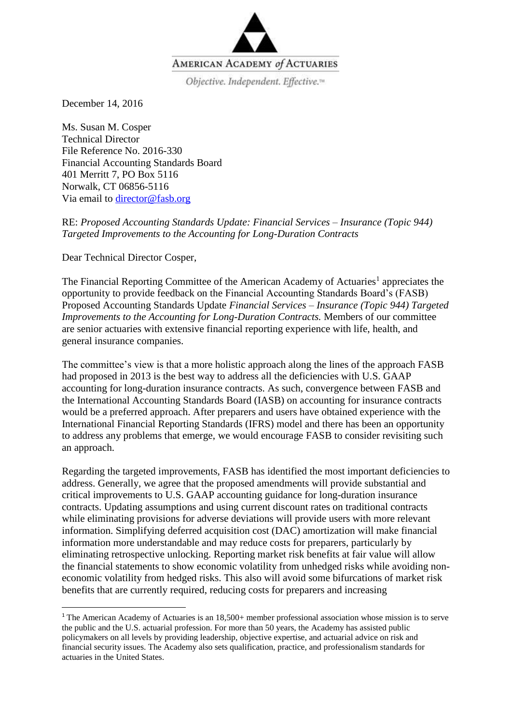

December 14, 2016

Ms. Susan M. Cosper Technical Director File Reference No. 2016-330 Financial Accounting Standards Board 401 Merritt 7, PO Box 5116 Norwalk, CT 06856-5116 Via email to [director@fasb.org](mailto:director@fasb.org)

RE: *Proposed Accounting Standards Update: Financial Services – Insurance (Topic 944) Targeted Improvements to the Accounting for Long-Duration Contracts*

Dear Technical Director Cosper,

1

The Financial Reporting Committee of the American Academy of Actuaries<sup>1</sup> appreciates the opportunity to provide feedback on the Financial Accounting Standards Board's (FASB) Proposed Accounting Standards Update *Financial Services – Insurance (Topic 944) Targeted Improvements to the Accounting for Long-Duration Contracts.* Members of our committee are senior actuaries with extensive financial reporting experience with life, health, and general insurance companies.

The committee's view is that a more holistic approach along the lines of the approach FASB had proposed in 2013 is the best way to address all the deficiencies with U.S. GAAP accounting for long-duration insurance contracts. As such, convergence between FASB and the International Accounting Standards Board (IASB) on accounting for insurance contracts would be a preferred approach. After preparers and users have obtained experience with the International Financial Reporting Standards (IFRS) model and there has been an opportunity to address any problems that emerge, we would encourage FASB to consider revisiting such an approach.

Regarding the targeted improvements, FASB has identified the most important deficiencies to address. Generally, we agree that the proposed amendments will provide substantial and critical improvements to U.S. GAAP accounting guidance for long-duration insurance contracts. Updating assumptions and using current discount rates on traditional contracts while eliminating provisions for adverse deviations will provide users with more relevant information. Simplifying deferred acquisition cost (DAC) amortization will make financial information more understandable and may reduce costs for preparers, particularly by eliminating retrospective unlocking. Reporting market risk benefits at fair value will allow the financial statements to show economic volatility from unhedged risks while avoiding noneconomic volatility from hedged risks. This also will avoid some bifurcations of market risk benefits that are currently required, reducing costs for preparers and increasing

<sup>1</sup> The American Academy of Actuaries is an 18,500+ member professional association whose mission is to serve the public and the U.S. actuarial profession. For more than 50 years, the Academy has assisted public policymakers on all levels by providing leadership, objective expertise, and actuarial advice on risk and financial security issues. The Academy also sets qualification, practice, and professionalism standards for actuaries in the United States.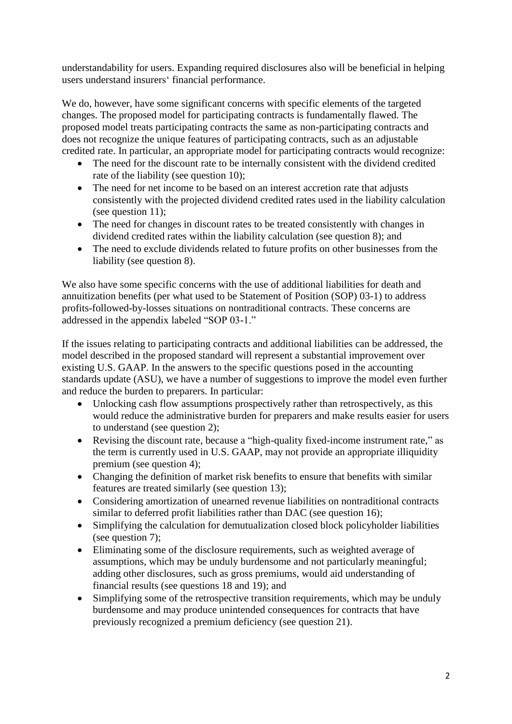understandability for users. Expanding required disclosures also will be beneficial in helping users understand insurers' financial performance.

We do, however, have some significant concerns with specific elements of the targeted changes. The proposed model for participating contracts is fundamentally flawed. The proposed model treats participating contracts the same as non-participating contracts and does not recognize the unique features of participating contracts, such as an adjustable credited rate. In particular, an appropriate model for participating contracts would recognize:

- The need for the discount rate to be internally consistent with the dividend credited rate of the liability (see question 10);
- The need for net income to be based on an interest accretion rate that adjusts consistently with the projected dividend credited rates used in the liability calculation (see question 11);
- The need for changes in discount rates to be treated consistently with changes in dividend credited rates within the liability calculation (see question 8); and
- The need to exclude dividends related to future profits on other businesses from the liability (see question 8).

We also have some specific concerns with the use of additional liabilities for death and annuitization benefits (per what used to be Statement of Position (SOP) 03-1) to address profits-followed-by-losses situations on nontraditional contracts. These concerns are addressed in the appendix labeled "SOP 03-1."

If the issues relating to participating contracts and additional liabilities can be addressed, the model described in the proposed standard will represent a substantial improvement over existing U.S. GAAP. In the answers to the specific questions posed in the accounting standards update (ASU), we have a number of suggestions to improve the model even further and reduce the burden to preparers. In particular:

- Unlocking cash flow assumptions prospectively rather than retrospectively, as this would reduce the administrative burden for preparers and make results easier for users to understand (see question 2);
- Revising the discount rate, because a "high-quality fixed-income instrument rate," as the term is currently used in U.S. GAAP, may not provide an appropriate illiquidity premium (see question 4);
- Changing the definition of market risk benefits to ensure that benefits with similar features are treated similarly (see question 13);
- Considering amortization of unearned revenue liabilities on nontraditional contracts similar to deferred profit liabilities rather than DAC (see question 16);
- Simplifying the calculation for demutualization closed block policyholder liabilities (see question 7);
- Eliminating some of the disclosure requirements, such as weighted average of assumptions, which may be unduly burdensome and not particularly meaningful; adding other disclosures, such as gross premiums, would aid understanding of financial results (see questions 18 and 19); and
- Simplifying some of the retrospective transition requirements, which may be unduly burdensome and may produce unintended consequences for contracts that have previously recognized a premium deficiency (see question 21).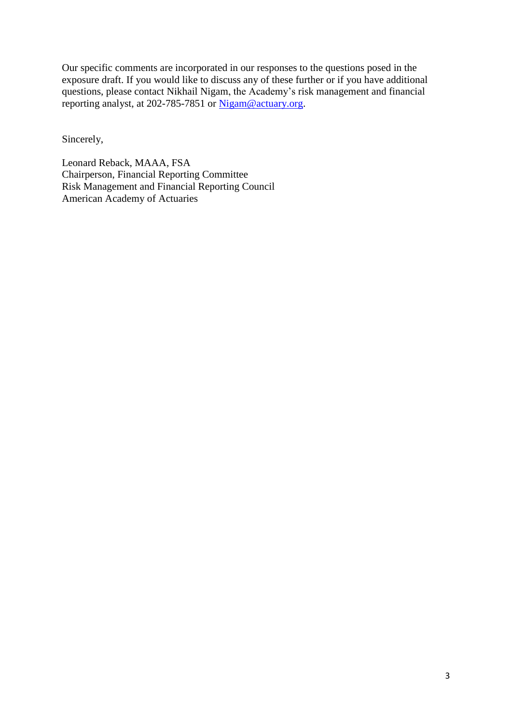Our specific comments are incorporated in our responses to the questions posed in the exposure draft. If you would like to discuss any of these further or if you have additional questions, please contact Nikhail Nigam, the Academy's risk management and financial reporting analyst, at 202-785-7851 or [Nigam@actuary.org.](mailto:Nigam@actuary.org)

Sincerely,

Leonard Reback, MAAA, FSA Chairperson, Financial Reporting Committee Risk Management and Financial Reporting Council American Academy of Actuaries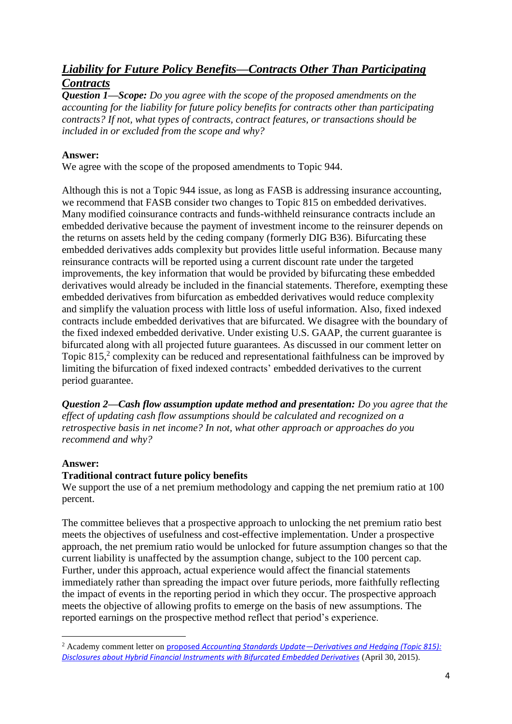# *Liability for Future Policy Benefits—Contracts Other Than Participating Contracts*

*Question 1—Scope: Do you agree with the scope of the proposed amendments on the accounting for the liability for future policy benefits for contracts other than participating contracts? If not, what types of contracts, contract features, or transactions should be included in or excluded from the scope and why?*

### **Answer:**

We agree with the scope of the proposed amendments to Topic 944.

Although this is not a Topic 944 issue, as long as FASB is addressing insurance accounting, we recommend that FASB consider two changes to Topic 815 on embedded derivatives. Many modified coinsurance contracts and funds-withheld reinsurance contracts include an embedded derivative because the payment of investment income to the reinsurer depends on the returns on assets held by the ceding company (formerly DIG B36). Bifurcating these embedded derivatives adds complexity but provides little useful information. Because many reinsurance contracts will be reported using a current discount rate under the targeted improvements, the key information that would be provided by bifurcating these embedded derivatives would already be included in the financial statements. Therefore, exempting these embedded derivatives from bifurcation as embedded derivatives would reduce complexity and simplify the valuation process with little loss of useful information. Also, fixed indexed contracts include embedded derivatives that are bifurcated. We disagree with the boundary of the fixed indexed embedded derivative. Under existing U.S. GAAP, the current guarantee is bifurcated along with all projected future guarantees. As discussed in our comment letter on Topic 815,<sup>2</sup> complexity can be reduced and representational faithfulness can be improved by limiting the bifurcation of fixed indexed contracts' embedded derivatives to the current period guarantee.

*Question 2—Cash flow assumption update method and presentation: Do you agree that the effect of updating cash flow assumptions should be calculated and recognized on a retrospective basis in net income? In not, what other approach or approaches do you recommend and why?*

# **Answer:**

1

#### **Traditional contract future policy benefits**

We support the use of a net premium methodology and capping the net premium ratio at 100 percent.

The committee believes that a prospective approach to unlocking the net premium ratio best meets the objectives of usefulness and cost-effective implementation. Under a prospective approach, the net premium ratio would be unlocked for future assumption changes so that the current liability is unaffected by the assumption change, subject to the 100 percent cap. Further, under this approach, actual experience would affect the financial statements immediately rather than spreading the impact over future periods, more faithfully reflecting the impact of events in the reporting period in which they occur. The prospective approach meets the objective of allowing profits to emerge on the basis of new assumptions. The reported earnings on the prospective method reflect that period's experience.

<sup>2</sup> Academy comment letter on proposed *Accounting Standards Update—[Derivatives and Hedging \(Topic 815\):](http://actuary.org/files/FRC_FASB_Hedging_Topic815_Comments_043015.pdf)  [Disclosures about Hybrid Financial Instruments with Bifurcated Embedded Derivatives](http://actuary.org/files/FRC_FASB_Hedging_Topic815_Comments_043015.pdf)* (April 30, 2015).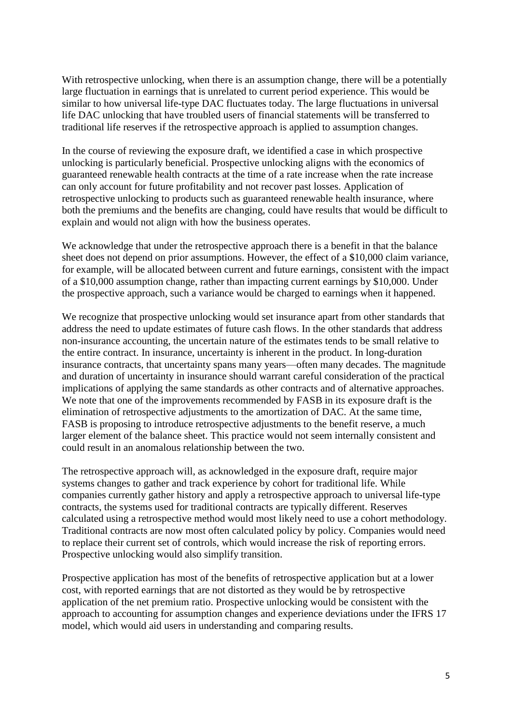With retrospective unlocking, when there is an assumption change, there will be a potentially large fluctuation in earnings that is unrelated to current period experience. This would be similar to how universal life-type DAC fluctuates today. The large fluctuations in universal life DAC unlocking that have troubled users of financial statements will be transferred to traditional life reserves if the retrospective approach is applied to assumption changes.

In the course of reviewing the exposure draft, we identified a case in which prospective unlocking is particularly beneficial. Prospective unlocking aligns with the economics of guaranteed renewable health contracts at the time of a rate increase when the rate increase can only account for future profitability and not recover past losses. Application of retrospective unlocking to products such as guaranteed renewable health insurance, where both the premiums and the benefits are changing, could have results that would be difficult to explain and would not align with how the business operates.

We acknowledge that under the retrospective approach there is a benefit in that the balance sheet does not depend on prior assumptions. However, the effect of a \$10,000 claim variance, for example, will be allocated between current and future earnings, consistent with the impact of a \$10,000 assumption change, rather than impacting current earnings by \$10,000. Under the prospective approach, such a variance would be charged to earnings when it happened.

We recognize that prospective unlocking would set insurance apart from other standards that address the need to update estimates of future cash flows. In the other standards that address non-insurance accounting, the uncertain nature of the estimates tends to be small relative to the entire contract. In insurance, uncertainty is inherent in the product. In long-duration insurance contracts, that uncertainty spans many years—often many decades. The magnitude and duration of uncertainty in insurance should warrant careful consideration of the practical implications of applying the same standards as other contracts and of alternative approaches. We note that one of the improvements recommended by FASB in its exposure draft is the elimination of retrospective adjustments to the amortization of DAC. At the same time, FASB is proposing to introduce retrospective adjustments to the benefit reserve, a much larger element of the balance sheet. This practice would not seem internally consistent and could result in an anomalous relationship between the two.

The retrospective approach will, as acknowledged in the exposure draft, require major systems changes to gather and track experience by cohort for traditional life. While companies currently gather history and apply a retrospective approach to universal life-type contracts, the systems used for traditional contracts are typically different. Reserves calculated using a retrospective method would most likely need to use a cohort methodology. Traditional contracts are now most often calculated policy by policy. Companies would need to replace their current set of controls, which would increase the risk of reporting errors. Prospective unlocking would also simplify transition.

Prospective application has most of the benefits of retrospective application but at a lower cost, with reported earnings that are not distorted as they would be by retrospective application of the net premium ratio. Prospective unlocking would be consistent with the approach to accounting for assumption changes and experience deviations under the IFRS 17 model, which would aid users in understanding and comparing results.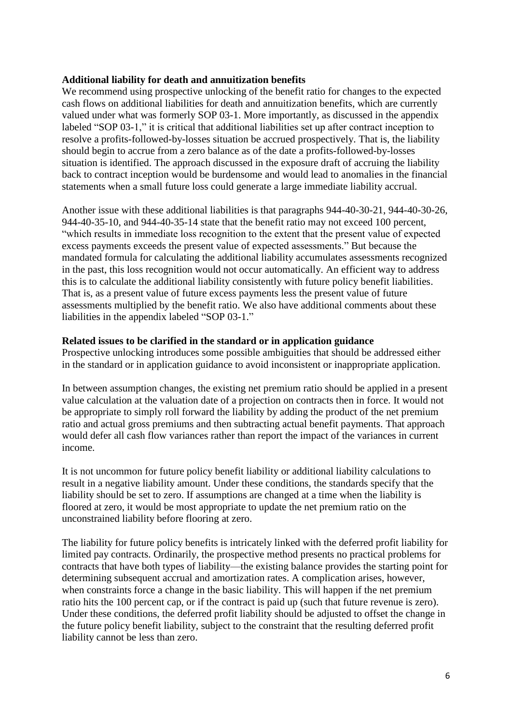#### **Additional liability for death and annuitization benefits**

We recommend using prospective unlocking of the benefit ratio for changes to the expected cash flows on additional liabilities for death and annuitization benefits, which are currently valued under what was formerly SOP 03-1. More importantly, as discussed in the appendix labeled "SOP 03-1," it is critical that additional liabilities set up after contract inception to resolve a profits-followed-by-losses situation be accrued prospectively. That is, the liability should begin to accrue from a zero balance as of the date a profits-followed-by-losses situation is identified. The approach discussed in the exposure draft of accruing the liability back to contract inception would be burdensome and would lead to anomalies in the financial statements when a small future loss could generate a large immediate liability accrual.

Another issue with these additional liabilities is that paragraphs 944-40-30-21, 944-40-30-26, 944-40-35-10, and 944-40-35-14 state that the benefit ratio may not exceed 100 percent, "which results in immediate loss recognition to the extent that the present value of expected excess payments exceeds the present value of expected assessments." But because the mandated formula for calculating the additional liability accumulates assessments recognized in the past, this loss recognition would not occur automatically. An efficient way to address this is to calculate the additional liability consistently with future policy benefit liabilities. That is, as a present value of future excess payments less the present value of future assessments multiplied by the benefit ratio. We also have additional comments about these liabilities in the appendix labeled "SOP 03-1."

#### **Related issues to be clarified in the standard or in application guidance**

Prospective unlocking introduces some possible ambiguities that should be addressed either in the standard or in application guidance to avoid inconsistent or inappropriate application.

In between assumption changes, the existing net premium ratio should be applied in a present value calculation at the valuation date of a projection on contracts then in force. It would not be appropriate to simply roll forward the liability by adding the product of the net premium ratio and actual gross premiums and then subtracting actual benefit payments. That approach would defer all cash flow variances rather than report the impact of the variances in current income.

It is not uncommon for future policy benefit liability or additional liability calculations to result in a negative liability amount. Under these conditions, the standards specify that the liability should be set to zero. If assumptions are changed at a time when the liability is floored at zero, it would be most appropriate to update the net premium ratio on the unconstrained liability before flooring at zero.

The liability for future policy benefits is intricately linked with the deferred profit liability for limited pay contracts. Ordinarily, the prospective method presents no practical problems for contracts that have both types of liability—the existing balance provides the starting point for determining subsequent accrual and amortization rates. A complication arises, however, when constraints force a change in the basic liability. This will happen if the net premium ratio hits the 100 percent cap, or if the contract is paid up (such that future revenue is zero). Under these conditions, the deferred profit liability should be adjusted to offset the change in the future policy benefit liability, subject to the constraint that the resulting deferred profit liability cannot be less than zero.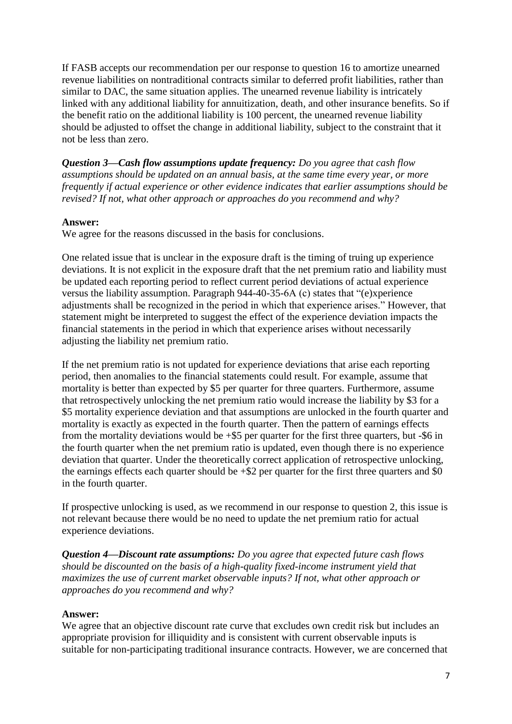If FASB accepts our recommendation per our response to question 16 to amortize unearned revenue liabilities on nontraditional contracts similar to deferred profit liabilities, rather than similar to DAC, the same situation applies. The unearned revenue liability is intricately linked with any additional liability for annuitization, death, and other insurance benefits. So if the benefit ratio on the additional liability is 100 percent, the unearned revenue liability should be adjusted to offset the change in additional liability, subject to the constraint that it not be less than zero.

*Question 3—Cash flow assumptions update frequency: Do you agree that cash flow assumptions should be updated on an annual basis, at the same time every year, or more frequently if actual experience or other evidence indicates that earlier assumptions should be revised? If not, what other approach or approaches do you recommend and why?*

### **Answer:**

We agree for the reasons discussed in the basis for conclusions.

One related issue that is unclear in the exposure draft is the timing of truing up experience deviations. It is not explicit in the exposure draft that the net premium ratio and liability must be updated each reporting period to reflect current period deviations of actual experience versus the liability assumption. Paragraph 944-40-35-6A (c) states that "(e)xperience adjustments shall be recognized in the period in which that experience arises." However, that statement might be interpreted to suggest the effect of the experience deviation impacts the financial statements in the period in which that experience arises without necessarily adjusting the liability net premium ratio.

If the net premium ratio is not updated for experience deviations that arise each reporting period, then anomalies to the financial statements could result. For example, assume that mortality is better than expected by \$5 per quarter for three quarters. Furthermore, assume that retrospectively unlocking the net premium ratio would increase the liability by \$3 for a \$5 mortality experience deviation and that assumptions are unlocked in the fourth quarter and mortality is exactly as expected in the fourth quarter. Then the pattern of earnings effects from the mortality deviations would be  $+$ \$5 per quarter for the first three quarters, but  $-$ \$6 in the fourth quarter when the net premium ratio is updated, even though there is no experience deviation that quarter. Under the theoretically correct application of retrospective unlocking, the earnings effects each quarter should be  $+\$2$  per quarter for the first three quarters and \$0 in the fourth quarter.

If prospective unlocking is used, as we recommend in our response to question 2, this issue is not relevant because there would be no need to update the net premium ratio for actual experience deviations.

*Question 4—Discount rate assumptions: Do you agree that expected future cash flows should be discounted on the basis of a high-quality fixed-income instrument yield that maximizes the use of current market observable inputs? If not, what other approach or approaches do you recommend and why?*

#### **Answer:**

We agree that an objective discount rate curve that excludes own credit risk but includes an appropriate provision for illiquidity and is consistent with current observable inputs is suitable for non-participating traditional insurance contracts. However, we are concerned that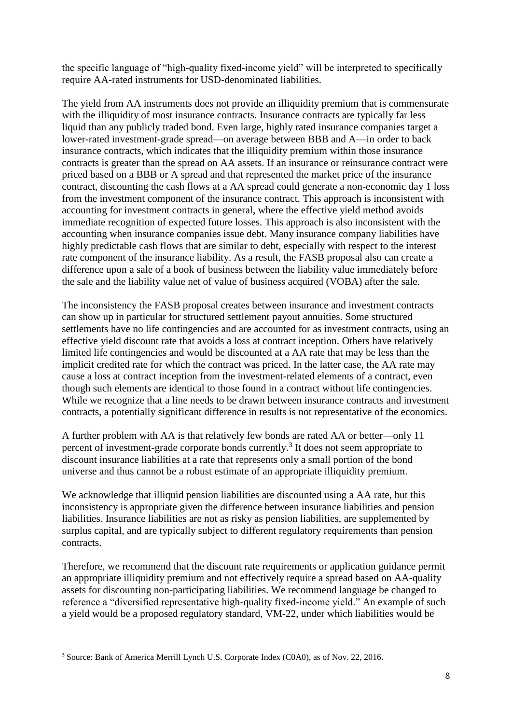the specific language of "high-quality fixed-income yield" will be interpreted to specifically require AA-rated instruments for USD-denominated liabilities.

The yield from AA instruments does not provide an illiquidity premium that is commensurate with the illiquidity of most insurance contracts. Insurance contracts are typically far less liquid than any publicly traded bond. Even large, highly rated insurance companies target a lower-rated investment-grade spread—on average between BBB and A—in order to back insurance contracts, which indicates that the illiquidity premium within those insurance contracts is greater than the spread on AA assets. If an insurance or reinsurance contract were priced based on a BBB or A spread and that represented the market price of the insurance contract, discounting the cash flows at a AA spread could generate a non-economic day 1 loss from the investment component of the insurance contract. This approach is inconsistent with accounting for investment contracts in general, where the effective yield method avoids immediate recognition of expected future losses. This approach is also inconsistent with the accounting when insurance companies issue debt. Many insurance company liabilities have highly predictable cash flows that are similar to debt, especially with respect to the interest rate component of the insurance liability. As a result, the FASB proposal also can create a difference upon a sale of a book of business between the liability value immediately before the sale and the liability value net of value of business acquired (VOBA) after the sale.

The inconsistency the FASB proposal creates between insurance and investment contracts can show up in particular for structured settlement payout annuities. Some structured settlements have no life contingencies and are accounted for as investment contracts, using an effective yield discount rate that avoids a loss at contract inception. Others have relatively limited life contingencies and would be discounted at a AA rate that may be less than the implicit credited rate for which the contract was priced. In the latter case, the AA rate may cause a loss at contract inception from the investment-related elements of a contract, even though such elements are identical to those found in a contract without life contingencies. While we recognize that a line needs to be drawn between insurance contracts and investment contracts, a potentially significant difference in results is not representative of the economics.

A further problem with AA is that relatively few bonds are rated AA or better—only 11 percent of investment-grade corporate bonds currently.<sup>3</sup> It does not seem appropriate to discount insurance liabilities at a rate that represents only a small portion of the bond universe and thus cannot be a robust estimate of an appropriate illiquidity premium.

We acknowledge that illiquid pension liabilities are discounted using a AA rate, but this inconsistency is appropriate given the difference between insurance liabilities and pension liabilities. Insurance liabilities are not as risky as pension liabilities, are supplemented by surplus capital, and are typically subject to different regulatory requirements than pension contracts.

Therefore, we recommend that the discount rate requirements or application guidance permit an appropriate illiquidity premium and not effectively require a spread based on AA-quality assets for discounting non-participating liabilities. We recommend language be changed to reference a "diversified representative high-quality fixed-income yield." An example of such a yield would be a proposed regulatory standard, VM-22, under which liabilities would be

**.** 

<sup>3</sup> Source: Bank of America Merrill Lynch U.S. Corporate Index (C0A0), as of Nov. 22, 2016.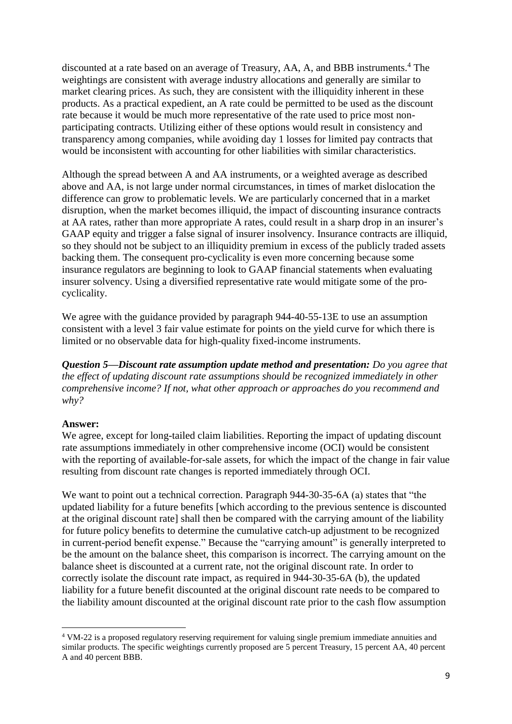discounted at a rate based on an average of Treasury, AA, A, and BBB instruments.<sup>4</sup> The weightings are consistent with average industry allocations and generally are similar to market clearing prices. As such, they are consistent with the illiquidity inherent in these products. As a practical expedient, an A rate could be permitted to be used as the discount rate because it would be much more representative of the rate used to price most nonparticipating contracts. Utilizing either of these options would result in consistency and transparency among companies, while avoiding day 1 losses for limited pay contracts that would be inconsistent with accounting for other liabilities with similar characteristics.

Although the spread between A and AA instruments, or a weighted average as described above and AA, is not large under normal circumstances, in times of market dislocation the difference can grow to problematic levels. We are particularly concerned that in a market disruption, when the market becomes illiquid, the impact of discounting insurance contracts at AA rates, rather than more appropriate A rates, could result in a sharp drop in an insurer's GAAP equity and trigger a false signal of insurer insolvency. Insurance contracts are illiquid, so they should not be subject to an illiquidity premium in excess of the publicly traded assets backing them. The consequent pro-cyclicality is even more concerning because some insurance regulators are beginning to look to GAAP financial statements when evaluating insurer solvency. Using a diversified representative rate would mitigate some of the procyclicality.

We agree with the guidance provided by paragraph 944-40-55-13E to use an assumption consistent with a level 3 fair value estimate for points on the yield curve for which there is limited or no observable data for high-quality fixed-income instruments.

*Question 5—Discount rate assumption update method and presentation: Do you agree that the effect of updating discount rate assumptions should be recognized immediately in other comprehensive income? If not, what other approach or approaches do you recommend and why?*

#### **Answer:**

1

We agree, except for long-tailed claim liabilities. Reporting the impact of updating discount rate assumptions immediately in other comprehensive income (OCI) would be consistent with the reporting of available-for-sale assets, for which the impact of the change in fair value resulting from discount rate changes is reported immediately through OCI.

We want to point out a technical correction. Paragraph 944-30-35-6A (a) states that "the updated liability for a future benefits [which according to the previous sentence is discounted at the original discount rate] shall then be compared with the carrying amount of the liability for future policy benefits to determine the cumulative catch-up adjustment to be recognized in current-period benefit expense." Because the "carrying amount" is generally interpreted to be the amount on the balance sheet, this comparison is incorrect. The carrying amount on the balance sheet is discounted at a current rate, not the original discount rate. In order to correctly isolate the discount rate impact, as required in 944-30-35-6A (b), the updated liability for a future benefit discounted at the original discount rate needs to be compared to the liability amount discounted at the original discount rate prior to the cash flow assumption

<sup>4</sup> VM-22 is a proposed regulatory reserving requirement for valuing single premium immediate annuities and similar products. The specific weightings currently proposed are 5 percent Treasury, 15 percent AA, 40 percent A and 40 percent BBB.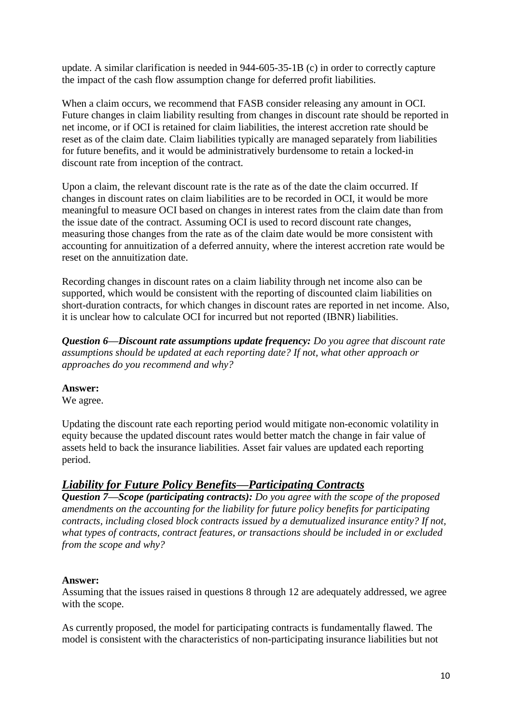update. A similar clarification is needed in 944-605-35-1B (c) in order to correctly capture the impact of the cash flow assumption change for deferred profit liabilities.

When a claim occurs, we recommend that FASB consider releasing any amount in OCI. Future changes in claim liability resulting from changes in discount rate should be reported in net income, or if OCI is retained for claim liabilities, the interest accretion rate should be reset as of the claim date. Claim liabilities typically are managed separately from liabilities for future benefits, and it would be administratively burdensome to retain a locked-in discount rate from inception of the contract.

Upon a claim, the relevant discount rate is the rate as of the date the claim occurred. If changes in discount rates on claim liabilities are to be recorded in OCI, it would be more meaningful to measure OCI based on changes in interest rates from the claim date than from the issue date of the contract. Assuming OCI is used to record discount rate changes, measuring those changes from the rate as of the claim date would be more consistent with accounting for annuitization of a deferred annuity, where the interest accretion rate would be reset on the annuitization date.

Recording changes in discount rates on a claim liability through net income also can be supported, which would be consistent with the reporting of discounted claim liabilities on short-duration contracts, for which changes in discount rates are reported in net income. Also, it is unclear how to calculate OCI for incurred but not reported (IBNR) liabilities.

*Question 6—Discount rate assumptions update frequency: Do you agree that discount rate assumptions should be updated at each reporting date? If not, what other approach or approaches do you recommend and why?*

# **Answer:**

We agree.

Updating the discount rate each reporting period would mitigate non-economic volatility in equity because the updated discount rates would better match the change in fair value of assets held to back the insurance liabilities. Asset fair values are updated each reporting period.

# *Liability for Future Policy Benefits—Participating Contracts*

*Question 7—Scope (participating contracts): Do you agree with the scope of the proposed amendments on the accounting for the liability for future policy benefits for participating contracts, including closed block contracts issued by a demutualized insurance entity? If not, what types of contracts, contract features, or transactions should be included in or excluded from the scope and why?*

# **Answer:**

Assuming that the issues raised in questions 8 through 12 are adequately addressed, we agree with the scope.

As currently proposed, the model for participating contracts is fundamentally flawed. The model is consistent with the characteristics of non-participating insurance liabilities but not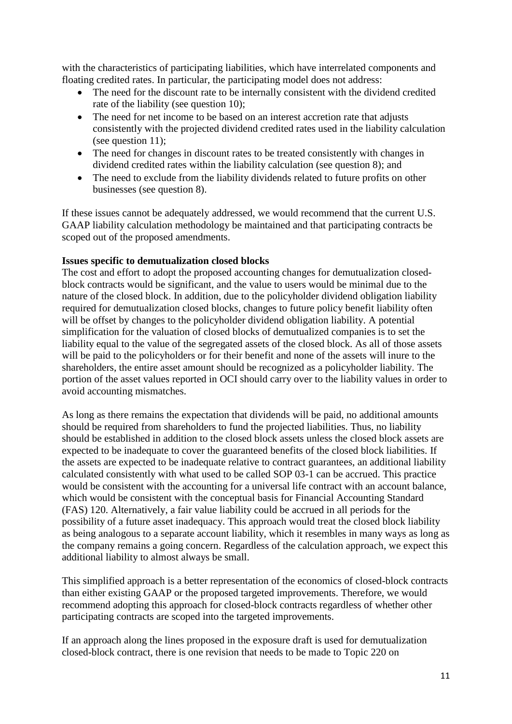with the characteristics of participating liabilities, which have interrelated components and floating credited rates. In particular, the participating model does not address:

- The need for the discount rate to be internally consistent with the dividend credited rate of the liability (see question 10);
- The need for net income to be based on an interest accretion rate that adjusts consistently with the projected dividend credited rates used in the liability calculation (see question 11);
- The need for changes in discount rates to be treated consistently with changes in dividend credited rates within the liability calculation (see question 8); and
- The need to exclude from the liability dividends related to future profits on other businesses (see question 8).

If these issues cannot be adequately addressed, we would recommend that the current U.S. GAAP liability calculation methodology be maintained and that participating contracts be scoped out of the proposed amendments.

### **Issues specific to demutualization closed blocks**

The cost and effort to adopt the proposed accounting changes for demutualization closedblock contracts would be significant, and the value to users would be minimal due to the nature of the closed block. In addition, due to the policyholder dividend obligation liability required for demutualization closed blocks, changes to future policy benefit liability often will be offset by changes to the policyholder dividend obligation liability. A potential simplification for the valuation of closed blocks of demutualized companies is to set the liability equal to the value of the segregated assets of the closed block. As all of those assets will be paid to the policyholders or for their benefit and none of the assets will inure to the shareholders, the entire asset amount should be recognized as a policyholder liability. The portion of the asset values reported in OCI should carry over to the liability values in order to avoid accounting mismatches.

As long as there remains the expectation that dividends will be paid, no additional amounts should be required from shareholders to fund the projected liabilities. Thus, no liability should be established in addition to the closed block assets unless the closed block assets are expected to be inadequate to cover the guaranteed benefits of the closed block liabilities. If the assets are expected to be inadequate relative to contract guarantees, an additional liability calculated consistently with what used to be called SOP 03-1 can be accrued. This practice would be consistent with the accounting for a universal life contract with an account balance, which would be consistent with the conceptual basis for Financial Accounting Standard (FAS) 120. Alternatively, a fair value liability could be accrued in all periods for the possibility of a future asset inadequacy. This approach would treat the closed block liability as being analogous to a separate account liability, which it resembles in many ways as long as the company remains a going concern. Regardless of the calculation approach, we expect this additional liability to almost always be small.

This simplified approach is a better representation of the economics of closed-block contracts than either existing GAAP or the proposed targeted improvements. Therefore, we would recommend adopting this approach for closed-block contracts regardless of whether other participating contracts are scoped into the targeted improvements.

If an approach along the lines proposed in the exposure draft is used for demutualization closed-block contract, there is one revision that needs to be made to Topic 220 on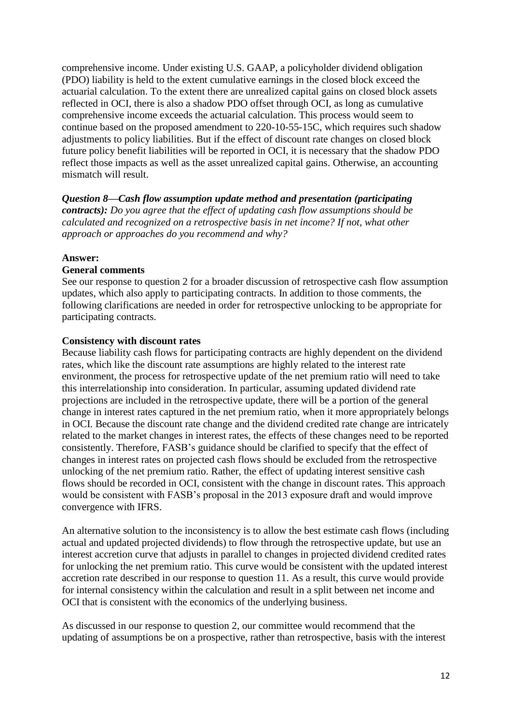comprehensive income. Under existing U.S. GAAP, a policyholder dividend obligation (PDO) liability is held to the extent cumulative earnings in the closed block exceed the actuarial calculation. To the extent there are unrealized capital gains on closed block assets reflected in OCI, there is also a shadow PDO offset through OCI, as long as cumulative comprehensive income exceeds the actuarial calculation. This process would seem to continue based on the proposed amendment to 220-10-55-15C, which requires such shadow adjustments to policy liabilities. But if the effect of discount rate changes on closed block future policy benefit liabilities will be reported in OCI, it is necessary that the shadow PDO reflect those impacts as well as the asset unrealized capital gains. Otherwise, an accounting mismatch will result.

*Question 8—Cash flow assumption update method and presentation (participating contracts): Do you agree that the effect of updating cash flow assumptions should be calculated and recognized on a retrospective basis in net income? If not, what other approach or approaches do you recommend and why?*

#### **Answer:**

#### **General comments**

See our response to question 2 for a broader discussion of retrospective cash flow assumption updates, which also apply to participating contracts. In addition to those comments, the following clarifications are needed in order for retrospective unlocking to be appropriate for participating contracts.

#### **Consistency with discount rates**

Because liability cash flows for participating contracts are highly dependent on the dividend rates, which like the discount rate assumptions are highly related to the interest rate environment, the process for retrospective update of the net premium ratio will need to take this interrelationship into consideration. In particular, assuming updated dividend rate projections are included in the retrospective update, there will be a portion of the general change in interest rates captured in the net premium ratio, when it more appropriately belongs in OCI. Because the discount rate change and the dividend credited rate change are intricately related to the market changes in interest rates, the effects of these changes need to be reported consistently. Therefore, FASB's guidance should be clarified to specify that the effect of changes in interest rates on projected cash flows should be excluded from the retrospective unlocking of the net premium ratio. Rather, the effect of updating interest sensitive cash flows should be recorded in OCI, consistent with the change in discount rates. This approach would be consistent with FASB's proposal in the 2013 exposure draft and would improve convergence with IFRS.

An alternative solution to the inconsistency is to allow the best estimate cash flows (including actual and updated projected dividends) to flow through the retrospective update, but use an interest accretion curve that adjusts in parallel to changes in projected dividend credited rates for unlocking the net premium ratio. This curve would be consistent with the updated interest accretion rate described in our response to question 11. As a result, this curve would provide for internal consistency within the calculation and result in a split between net income and OCI that is consistent with the economics of the underlying business.

As discussed in our response to question 2, our committee would recommend that the updating of assumptions be on a prospective, rather than retrospective, basis with the interest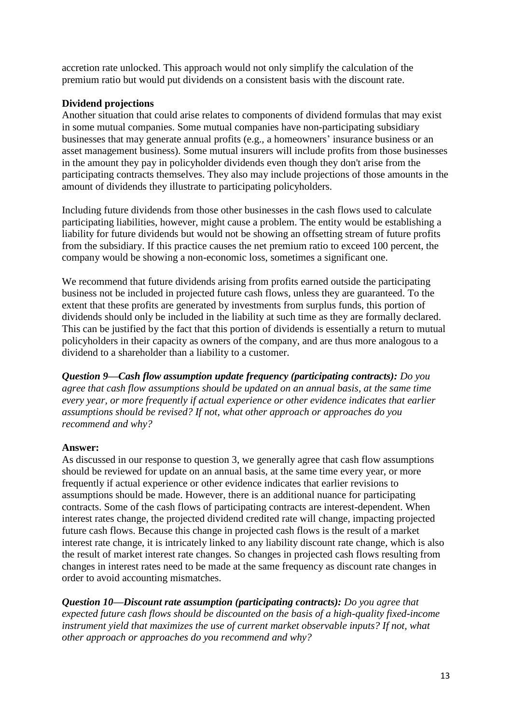accretion rate unlocked. This approach would not only simplify the calculation of the premium ratio but would put dividends on a consistent basis with the discount rate.

# **Dividend projections**

Another situation that could arise relates to components of dividend formulas that may exist in some mutual companies. Some mutual companies have non-participating subsidiary businesses that may generate annual profits (e.g., a homeowners' insurance business or an asset management business). Some mutual insurers will include profits from those businesses in the amount they pay in policyholder dividends even though they don't arise from the participating contracts themselves. They also may include projections of those amounts in the amount of dividends they illustrate to participating policyholders.

Including future dividends from those other businesses in the cash flows used to calculate participating liabilities, however, might cause a problem. The entity would be establishing a liability for future dividends but would not be showing an offsetting stream of future profits from the subsidiary. If this practice causes the net premium ratio to exceed 100 percent, the company would be showing a non-economic loss, sometimes a significant one.

We recommend that future dividends arising from profits earned outside the participating business not be included in projected future cash flows, unless they are guaranteed. To the extent that these profits are generated by investments from surplus funds, this portion of dividends should only be included in the liability at such time as they are formally declared. This can be justified by the fact that this portion of dividends is essentially a return to mutual policyholders in their capacity as owners of the company, and are thus more analogous to a dividend to a shareholder than a liability to a customer.

*Question 9—Cash flow assumption update frequency (participating contracts): Do you agree that cash flow assumptions should be updated on an annual basis, at the same time every year, or more frequently if actual experience or other evidence indicates that earlier assumptions should be revised? If not, what other approach or approaches do you recommend and why?*

# **Answer:**

As discussed in our response to question 3, we generally agree that cash flow assumptions should be reviewed for update on an annual basis, at the same time every year, or more frequently if actual experience or other evidence indicates that earlier revisions to assumptions should be made. However, there is an additional nuance for participating contracts. Some of the cash flows of participating contracts are interest-dependent. When interest rates change, the projected dividend credited rate will change, impacting projected future cash flows. Because this change in projected cash flows is the result of a market interest rate change, it is intricately linked to any liability discount rate change, which is also the result of market interest rate changes. So changes in projected cash flows resulting from changes in interest rates need to be made at the same frequency as discount rate changes in order to avoid accounting mismatches.

*Question 10—Discount rate assumption (participating contracts): Do you agree that expected future cash flows should be discounted on the basis of a high-quality fixed-income instrument yield that maximizes the use of current market observable inputs? If not, what other approach or approaches do you recommend and why?*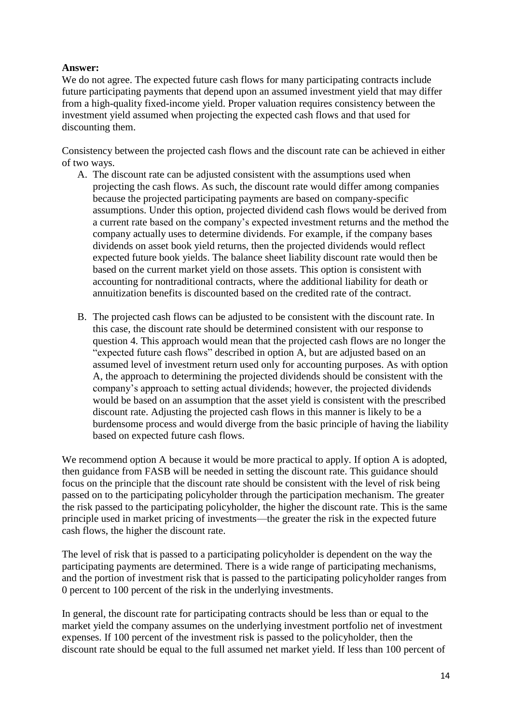### **Answer:**

We do not agree. The expected future cash flows for many participating contracts include future participating payments that depend upon an assumed investment yield that may differ from a high-quality fixed-income yield. Proper valuation requires consistency between the investment yield assumed when projecting the expected cash flows and that used for discounting them.

Consistency between the projected cash flows and the discount rate can be achieved in either of two ways.

- A. The discount rate can be adjusted consistent with the assumptions used when projecting the cash flows. As such, the discount rate would differ among companies because the projected participating payments are based on company-specific assumptions. Under this option, projected dividend cash flows would be derived from a current rate based on the company's expected investment returns and the method the company actually uses to determine dividends. For example, if the company bases dividends on asset book yield returns, then the projected dividends would reflect expected future book yields. The balance sheet liability discount rate would then be based on the current market yield on those assets. This option is consistent with accounting for nontraditional contracts, where the additional liability for death or annuitization benefits is discounted based on the credited rate of the contract.
- B. The projected cash flows can be adjusted to be consistent with the discount rate. In this case, the discount rate should be determined consistent with our response to question 4. This approach would mean that the projected cash flows are no longer the "expected future cash flows" described in option A, but are adjusted based on an assumed level of investment return used only for accounting purposes. As with option A, the approach to determining the projected dividends should be consistent with the company's approach to setting actual dividends; however, the projected dividends would be based on an assumption that the asset yield is consistent with the prescribed discount rate. Adjusting the projected cash flows in this manner is likely to be a burdensome process and would diverge from the basic principle of having the liability based on expected future cash flows.

We recommend option A because it would be more practical to apply. If option A is adopted, then guidance from FASB will be needed in setting the discount rate. This guidance should focus on the principle that the discount rate should be consistent with the level of risk being passed on to the participating policyholder through the participation mechanism. The greater the risk passed to the participating policyholder, the higher the discount rate. This is the same principle used in market pricing of investments—the greater the risk in the expected future cash flows, the higher the discount rate.

The level of risk that is passed to a participating policyholder is dependent on the way the participating payments are determined. There is a wide range of participating mechanisms, and the portion of investment risk that is passed to the participating policyholder ranges from 0 percent to 100 percent of the risk in the underlying investments.

In general, the discount rate for participating contracts should be less than or equal to the market yield the company assumes on the underlying investment portfolio net of investment expenses. If 100 percent of the investment risk is passed to the policyholder, then the discount rate should be equal to the full assumed net market yield. If less than 100 percent of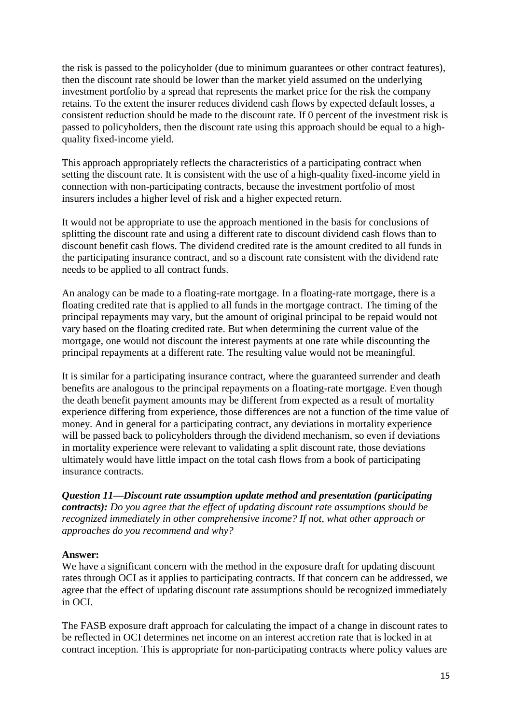the risk is passed to the policyholder (due to minimum guarantees or other contract features), then the discount rate should be lower than the market yield assumed on the underlying investment portfolio by a spread that represents the market price for the risk the company retains. To the extent the insurer reduces dividend cash flows by expected default losses, a consistent reduction should be made to the discount rate. If 0 percent of the investment risk is passed to policyholders, then the discount rate using this approach should be equal to a highquality fixed-income yield.

This approach appropriately reflects the characteristics of a participating contract when setting the discount rate. It is consistent with the use of a high-quality fixed-income yield in connection with non-participating contracts, because the investment portfolio of most insurers includes a higher level of risk and a higher expected return.

It would not be appropriate to use the approach mentioned in the basis for conclusions of splitting the discount rate and using a different rate to discount dividend cash flows than to discount benefit cash flows. The dividend credited rate is the amount credited to all funds in the participating insurance contract, and so a discount rate consistent with the dividend rate needs to be applied to all contract funds.

An analogy can be made to a floating-rate mortgage. In a floating-rate mortgage, there is a floating credited rate that is applied to all funds in the mortgage contract. The timing of the principal repayments may vary, but the amount of original principal to be repaid would not vary based on the floating credited rate. But when determining the current value of the mortgage, one would not discount the interest payments at one rate while discounting the principal repayments at a different rate. The resulting value would not be meaningful.

It is similar for a participating insurance contract, where the guaranteed surrender and death benefits are analogous to the principal repayments on a floating-rate mortgage. Even though the death benefit payment amounts may be different from expected as a result of mortality experience differing from experience, those differences are not a function of the time value of money. And in general for a participating contract, any deviations in mortality experience will be passed back to policyholders through the dividend mechanism, so even if deviations in mortality experience were relevant to validating a split discount rate, those deviations ultimately would have little impact on the total cash flows from a book of participating insurance contracts.

*Question 11—Discount rate assumption update method and presentation (participating contracts): Do you agree that the effect of updating discount rate assumptions should be recognized immediately in other comprehensive income? If not, what other approach or approaches do you recommend and why?*

#### **Answer:**

We have a significant concern with the method in the exposure draft for updating discount rates through OCI as it applies to participating contracts. If that concern can be addressed, we agree that the effect of updating discount rate assumptions should be recognized immediately in OCI.

The FASB exposure draft approach for calculating the impact of a change in discount rates to be reflected in OCI determines net income on an interest accretion rate that is locked in at contract inception. This is appropriate for non-participating contracts where policy values are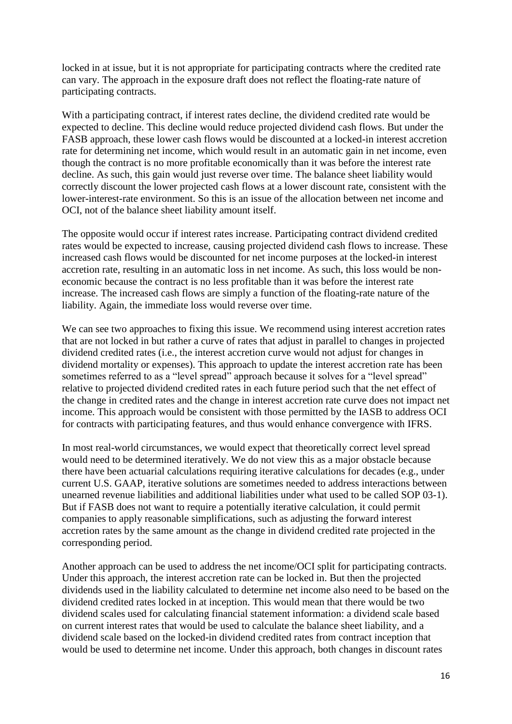locked in at issue, but it is not appropriate for participating contracts where the credited rate can vary. The approach in the exposure draft does not reflect the floating-rate nature of participating contracts.

With a participating contract, if interest rates decline, the dividend credited rate would be expected to decline. This decline would reduce projected dividend cash flows. But under the FASB approach, these lower cash flows would be discounted at a locked-in interest accretion rate for determining net income, which would result in an automatic gain in net income, even though the contract is no more profitable economically than it was before the interest rate decline. As such, this gain would just reverse over time. The balance sheet liability would correctly discount the lower projected cash flows at a lower discount rate, consistent with the lower-interest-rate environment. So this is an issue of the allocation between net income and OCI, not of the balance sheet liability amount itself.

The opposite would occur if interest rates increase. Participating contract dividend credited rates would be expected to increase, causing projected dividend cash flows to increase. These increased cash flows would be discounted for net income purposes at the locked-in interest accretion rate, resulting in an automatic loss in net income. As such, this loss would be noneconomic because the contract is no less profitable than it was before the interest rate increase. The increased cash flows are simply a function of the floating-rate nature of the liability. Again, the immediate loss would reverse over time.

We can see two approaches to fixing this issue. We recommend using interest accretion rates that are not locked in but rather a curve of rates that adjust in parallel to changes in projected dividend credited rates (i.e., the interest accretion curve would not adjust for changes in dividend mortality or expenses). This approach to update the interest accretion rate has been sometimes referred to as a "level spread" approach because it solves for a "level spread" relative to projected dividend credited rates in each future period such that the net effect of the change in credited rates and the change in interest accretion rate curve does not impact net income. This approach would be consistent with those permitted by the IASB to address OCI for contracts with participating features, and thus would enhance convergence with IFRS.

In most real-world circumstances, we would expect that theoretically correct level spread would need to be determined iteratively. We do not view this as a major obstacle because there have been actuarial calculations requiring iterative calculations for decades (e.g., under current U.S. GAAP, iterative solutions are sometimes needed to address interactions between unearned revenue liabilities and additional liabilities under what used to be called SOP 03-1). But if FASB does not want to require a potentially iterative calculation, it could permit companies to apply reasonable simplifications, such as adjusting the forward interest accretion rates by the same amount as the change in dividend credited rate projected in the corresponding period.

Another approach can be used to address the net income/OCI split for participating contracts. Under this approach, the interest accretion rate can be locked in. But then the projected dividends used in the liability calculated to determine net income also need to be based on the dividend credited rates locked in at inception. This would mean that there would be two dividend scales used for calculating financial statement information: a dividend scale based on current interest rates that would be used to calculate the balance sheet liability, and a dividend scale based on the locked-in dividend credited rates from contract inception that would be used to determine net income. Under this approach, both changes in discount rates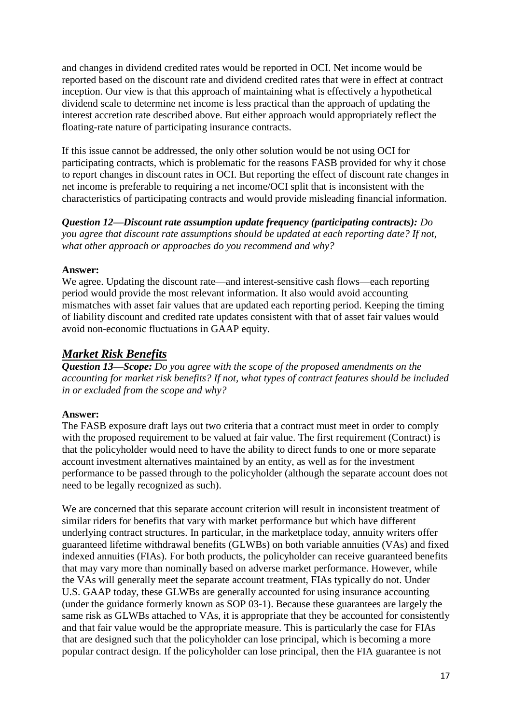and changes in dividend credited rates would be reported in OCI. Net income would be reported based on the discount rate and dividend credited rates that were in effect at contract inception. Our view is that this approach of maintaining what is effectively a hypothetical dividend scale to determine net income is less practical than the approach of updating the interest accretion rate described above. But either approach would appropriately reflect the floating-rate nature of participating insurance contracts.

If this issue cannot be addressed, the only other solution would be not using OCI for participating contracts, which is problematic for the reasons FASB provided for why it chose to report changes in discount rates in OCI. But reporting the effect of discount rate changes in net income is preferable to requiring a net income/OCI split that is inconsistent with the characteristics of participating contracts and would provide misleading financial information.

*Question 12—Discount rate assumption update frequency (participating contracts): Do you agree that discount rate assumptions should be updated at each reporting date? If not, what other approach or approaches do you recommend and why?*

### **Answer:**

We agree. Updating the discount rate—and interest-sensitive cash flows—each reporting period would provide the most relevant information. It also would avoid accounting mismatches with asset fair values that are updated each reporting period. Keeping the timing of liability discount and credited rate updates consistent with that of asset fair values would avoid non-economic fluctuations in GAAP equity.

# *Market Risk Benefits*

*Question 13—Scope: Do you agree with the scope of the proposed amendments on the accounting for market risk benefits? If not, what types of contract features should be included in or excluded from the scope and why?*

#### **Answer:**

The FASB exposure draft lays out two criteria that a contract must meet in order to comply with the proposed requirement to be valued at fair value. The first requirement (Contract) is that the policyholder would need to have the ability to direct funds to one or more separate account investment alternatives maintained by an entity, as well as for the investment performance to be passed through to the policyholder (although the separate account does not need to be legally recognized as such).

We are concerned that this separate account criterion will result in inconsistent treatment of similar riders for benefits that vary with market performance but which have different underlying contract structures. In particular, in the marketplace today, annuity writers offer guaranteed lifetime withdrawal benefits (GLWBs) on both variable annuities (VAs) and fixed indexed annuities (FIAs). For both products, the policyholder can receive guaranteed benefits that may vary more than nominally based on adverse market performance. However, while the VAs will generally meet the separate account treatment, FIAs typically do not. Under U.S. GAAP today, these GLWBs are generally accounted for using insurance accounting (under the guidance formerly known as SOP 03-1). Because these guarantees are largely the same risk as GLWBs attached to VAs, it is appropriate that they be accounted for consistently and that fair value would be the appropriate measure. This is particularly the case for FIAs that are designed such that the policyholder can lose principal, which is becoming a more popular contract design. If the policyholder can lose principal, then the FIA guarantee is not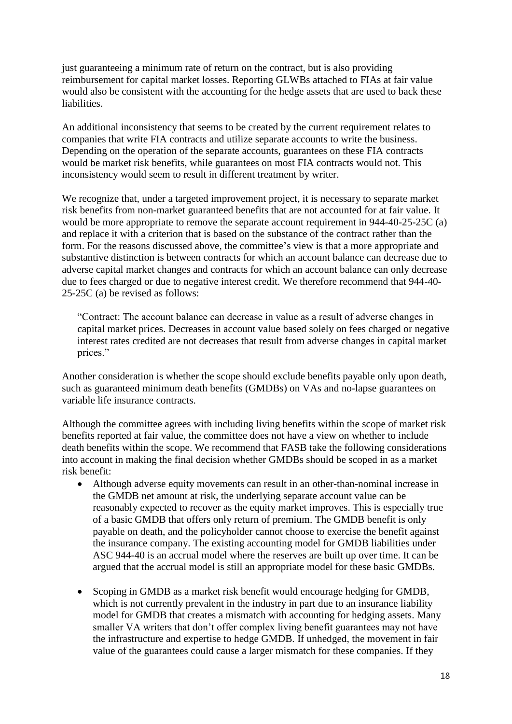just guaranteeing a minimum rate of return on the contract, but is also providing reimbursement for capital market losses. Reporting GLWBs attached to FIAs at fair value would also be consistent with the accounting for the hedge assets that are used to back these liabilities.

An additional inconsistency that seems to be created by the current requirement relates to companies that write FIA contracts and utilize separate accounts to write the business. Depending on the operation of the separate accounts, guarantees on these FIA contracts would be market risk benefits, while guarantees on most FIA contracts would not. This inconsistency would seem to result in different treatment by writer.

We recognize that, under a targeted improvement project, it is necessary to separate market risk benefits from non-market guaranteed benefits that are not accounted for at fair value. It would be more appropriate to remove the separate account requirement in 944-40-25-25C (a) and replace it with a criterion that is based on the substance of the contract rather than the form. For the reasons discussed above, the committee's view is that a more appropriate and substantive distinction is between contracts for which an account balance can decrease due to adverse capital market changes and contracts for which an account balance can only decrease due to fees charged or due to negative interest credit. We therefore recommend that 944-40- 25-25C (a) be revised as follows:

"Contract: The account balance can decrease in value as a result of adverse changes in capital market prices. Decreases in account value based solely on fees charged or negative interest rates credited are not decreases that result from adverse changes in capital market prices."

Another consideration is whether the scope should exclude benefits payable only upon death, such as guaranteed minimum death benefits (GMDBs) on VAs and no-lapse guarantees on variable life insurance contracts.

Although the committee agrees with including living benefits within the scope of market risk benefits reported at fair value, the committee does not have a view on whether to include death benefits within the scope. We recommend that FASB take the following considerations into account in making the final decision whether GMDBs should be scoped in as a market risk benefit:

- Although adverse equity movements can result in an other-than-nominal increase in the GMDB net amount at risk, the underlying separate account value can be reasonably expected to recover as the equity market improves. This is especially true of a basic GMDB that offers only return of premium. The GMDB benefit is only payable on death, and the policyholder cannot choose to exercise the benefit against the insurance company. The existing accounting model for GMDB liabilities under ASC 944-40 is an accrual model where the reserves are built up over time. It can be argued that the accrual model is still an appropriate model for these basic GMDBs.
- Scoping in GMDB as a market risk benefit would encourage hedging for GMDB, which is not currently prevalent in the industry in part due to an insurance liability model for GMDB that creates a mismatch with accounting for hedging assets. Many smaller VA writers that don't offer complex living benefit guarantees may not have the infrastructure and expertise to hedge GMDB. If unhedged, the movement in fair value of the guarantees could cause a larger mismatch for these companies. If they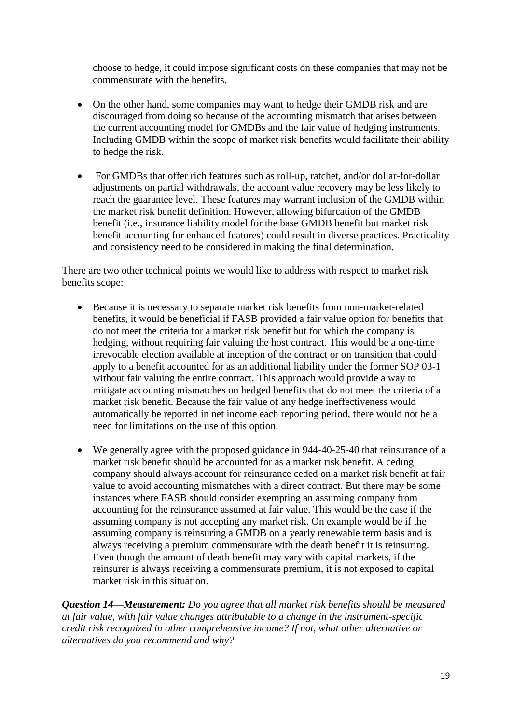choose to hedge, it could impose significant costs on these companies that may not be commensurate with the benefits.

- On the other hand, some companies may want to hedge their GMDB risk and are discouraged from doing so because of the accounting mismatch that arises between the current accounting model for GMDBs and the fair value of hedging instruments. Including GMDB within the scope of market risk benefits would facilitate their ability to hedge the risk.
- For GMDBs that offer rich features such as roll-up, ratchet, and/or dollar-for-dollar adjustments on partial withdrawals, the account value recovery may be less likely to reach the guarantee level. These features may warrant inclusion of the GMDB within the market risk benefit definition. However, allowing bifurcation of the GMDB benefit (i.e., insurance liability model for the base GMDB benefit but market risk benefit accounting for enhanced features) could result in diverse practices. Practicality and consistency need to be considered in making the final determination.

There are two other technical points we would like to address with respect to market risk benefits scope:

- Because it is necessary to separate market risk benefits from non-market-related benefits, it would be beneficial if FASB provided a fair value option for benefits that do not meet the criteria for a market risk benefit but for which the company is hedging, without requiring fair valuing the host contract. This would be a one-time irrevocable election available at inception of the contract or on transition that could apply to a benefit accounted for as an additional liability under the former SOP 03-1 without fair valuing the entire contract. This approach would provide a way to mitigate accounting mismatches on hedged benefits that do not meet the criteria of a market risk benefit. Because the fair value of any hedge ineffectiveness would automatically be reported in net income each reporting period, there would not be a need for limitations on the use of this option.
- We generally agree with the proposed guidance in 944-40-25-40 that reinsurance of a market risk benefit should be accounted for as a market risk benefit. A ceding company should always account for reinsurance ceded on a market risk benefit at fair value to avoid accounting mismatches with a direct contract. But there may be some instances where FASB should consider exempting an assuming company from accounting for the reinsurance assumed at fair value. This would be the case if the assuming company is not accepting any market risk. On example would be if the assuming company is reinsuring a GMDB on a yearly renewable term basis and is always receiving a premium commensurate with the death benefit it is reinsuring. Even though the amount of death benefit may vary with capital markets, if the reinsurer is always receiving a commensurate premium, it is not exposed to capital market risk in this situation.

*Question 14—Measurement: Do you agree that all market risk benefits should be measured at fair value, with fair value changes attributable to a change in the instrument-specific credit risk recognized in other comprehensive income? If not, what other alternative or alternatives do you recommend and why?*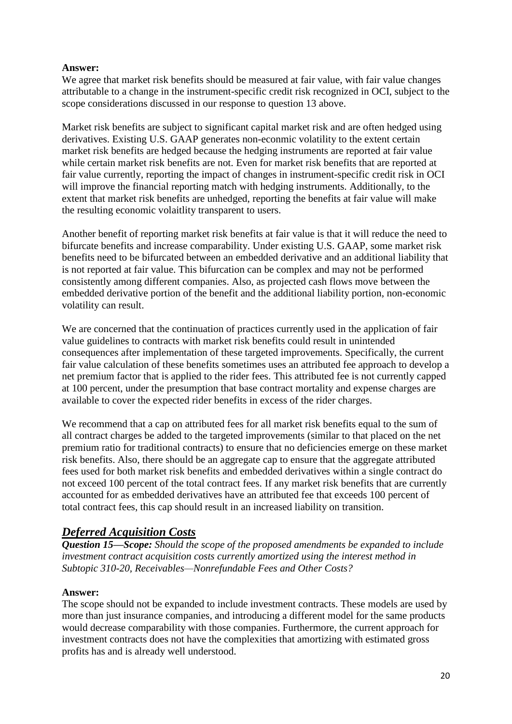### **Answer:**

We agree that market risk benefits should be measured at fair value, with fair value changes attributable to a change in the instrument-specific credit risk recognized in OCI, subject to the scope considerations discussed in our response to question 13 above.

Market risk benefits are subject to significant capital market risk and are often hedged using derivatives. Existing U.S. GAAP generates non-econmic volatility to the extent certain market risk benefits are hedged because the hedging instruments are reported at fair value while certain market risk benefits are not. Even for market risk benefits that are reported at fair value currently, reporting the impact of changes in instrument-specific credit risk in OCI will improve the financial reporting match with hedging instruments. Additionally, to the extent that market risk benefits are unhedged, reporting the benefits at fair value will make the resulting economic volaitlity transparent to users.

Another benefit of reporting market risk benefits at fair value is that it will reduce the need to bifurcate benefits and increase comparability. Under existing U.S. GAAP, some market risk benefits need to be bifurcated between an embedded derivative and an additional liability that is not reported at fair value. This bifurcation can be complex and may not be performed consistently among different companies. Also, as projected cash flows move between the embedded derivative portion of the benefit and the additional liability portion, non-economic volatility can result.

We are concerned that the continuation of practices currently used in the application of fair value guidelines to contracts with market risk benefits could result in unintended consequences after implementation of these targeted improvements. Specifically, the current fair value calculation of these benefits sometimes uses an attributed fee approach to develop a net premium factor that is applied to the rider fees. This attributed fee is not currently capped at 100 percent, under the presumption that base contract mortality and expense charges are available to cover the expected rider benefits in excess of the rider charges.

We recommend that a cap on attributed fees for all market risk benefits equal to the sum of all contract charges be added to the targeted improvements (similar to that placed on the net premium ratio for traditional contracts) to ensure that no deficiencies emerge on these market risk benefits. Also, there should be an aggregate cap to ensure that the aggregate attributed fees used for both market risk benefits and embedded derivatives within a single contract do not exceed 100 percent of the total contract fees. If any market risk benefits that are currently accounted for as embedded derivatives have an attributed fee that exceeds 100 percent of total contract fees, this cap should result in an increased liability on transition.

# *Deferred Acquisition Costs*

*Question 15—Scope: Should the scope of the proposed amendments be expanded to include investment contract acquisition costs currently amortized using the interest method in Subtopic 310-20, Receivables—Nonrefundable Fees and Other Costs?* 

# **Answer:**

The scope should not be expanded to include investment contracts. These models are used by more than just insurance companies, and introducing a different model for the same products would decrease comparability with those companies. Furthermore, the current approach for investment contracts does not have the complexities that amortizing with estimated gross profits has and is already well understood.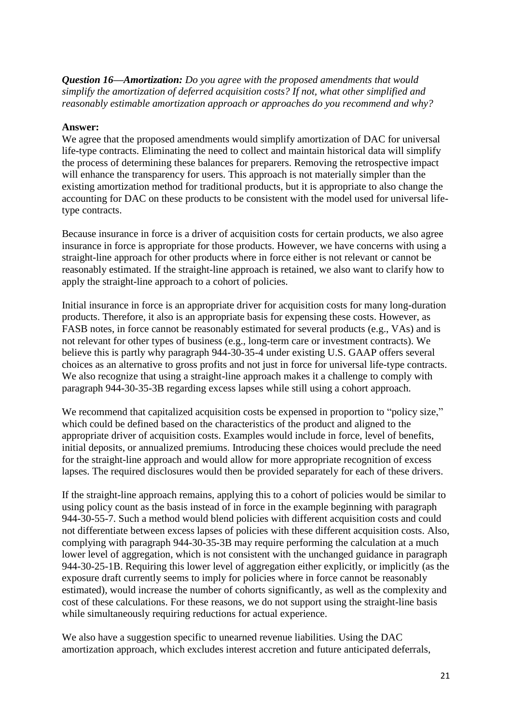*Question 16—Amortization: Do you agree with the proposed amendments that would simplify the amortization of deferred acquisition costs? If not, what other simplified and reasonably estimable amortization approach or approaches do you recommend and why?*

### **Answer:**

We agree that the proposed amendments would simplify amortization of DAC for universal life-type contracts. Eliminating the need to collect and maintain historical data will simplify the process of determining these balances for preparers. Removing the retrospective impact will enhance the transparency for users. This approach is not materially simpler than the existing amortization method for traditional products, but it is appropriate to also change the accounting for DAC on these products to be consistent with the model used for universal lifetype contracts.

Because insurance in force is a driver of acquisition costs for certain products, we also agree insurance in force is appropriate for those products. However, we have concerns with using a straight-line approach for other products where in force either is not relevant or cannot be reasonably estimated. If the straight-line approach is retained, we also want to clarify how to apply the straight-line approach to a cohort of policies.

Initial insurance in force is an appropriate driver for acquisition costs for many long-duration products. Therefore, it also is an appropriate basis for expensing these costs. However, as FASB notes, in force cannot be reasonably estimated for several products (e.g., VAs) and is not relevant for other types of business (e.g., long-term care or investment contracts). We believe this is partly why paragraph 944-30-35-4 under existing U.S. GAAP offers several choices as an alternative to gross profits and not just in force for universal life-type contracts. We also recognize that using a straight-line approach makes it a challenge to comply with paragraph 944-30-35-3B regarding excess lapses while still using a cohort approach.

We recommend that capitalized acquisition costs be expensed in proportion to "policy size," which could be defined based on the characteristics of the product and aligned to the appropriate driver of acquisition costs. Examples would include in force, level of benefits, initial deposits, or annualized premiums. Introducing these choices would preclude the need for the straight-line approach and would allow for more appropriate recognition of excess lapses. The required disclosures would then be provided separately for each of these drivers.

If the straight-line approach remains, applying this to a cohort of policies would be similar to using policy count as the basis instead of in force in the example beginning with paragraph 944-30-55-7. Such a method would blend policies with different acquisition costs and could not differentiate between excess lapses of policies with these different acquisition costs. Also, complying with paragraph 944-30-35-3B may require performing the calculation at a much lower level of aggregation, which is not consistent with the unchanged guidance in paragraph 944-30-25-1B. Requiring this lower level of aggregation either explicitly, or implicitly (as the exposure draft currently seems to imply for policies where in force cannot be reasonably estimated), would increase the number of cohorts significantly, as well as the complexity and cost of these calculations. For these reasons, we do not support using the straight-line basis while simultaneously requiring reductions for actual experience.

We also have a suggestion specific to unearned revenue liabilities. Using the DAC amortization approach, which excludes interest accretion and future anticipated deferrals,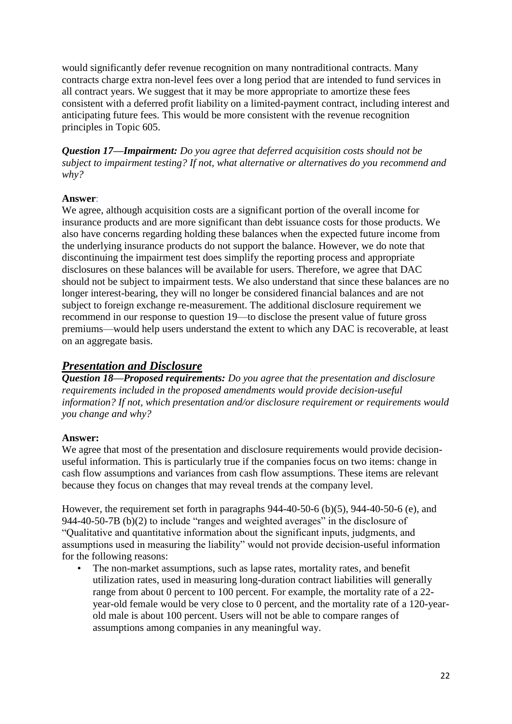would significantly defer revenue recognition on many nontraditional contracts. Many contracts charge extra non-level fees over a long period that are intended to fund services in all contract years. We suggest that it may be more appropriate to amortize these fees consistent with a deferred profit liability on a limited-payment contract, including interest and anticipating future fees. This would be more consistent with the revenue recognition principles in Topic 605.

*Question 17—Impairment: Do you agree that deferred acquisition costs should not be subject to impairment testing? If not, what alternative or alternatives do you recommend and why?*

### **Answer**:

We agree, although acquisition costs are a significant portion of the overall income for insurance products and are more significant than debt issuance costs for those products. We also have concerns regarding holding these balances when the expected future income from the underlying insurance products do not support the balance. However, we do note that discontinuing the impairment test does simplify the reporting process and appropriate disclosures on these balances will be available for users. Therefore, we agree that DAC should not be subject to impairment tests. We also understand that since these balances are no longer interest-bearing, they will no longer be considered financial balances and are not subject to foreign exchange re-measurement. The additional disclosure requirement we recommend in our response to question 19—to disclose the present value of future gross premiums—would help users understand the extent to which any DAC is recoverable, at least on an aggregate basis.

# *Presentation and Disclosure*

*Question 18—Proposed requirements: Do you agree that the presentation and disclosure requirements included in the proposed amendments would provide decision-useful information? If not, which presentation and/or disclosure requirement or requirements would you change and why?*

# **Answer:**

We agree that most of the presentation and disclosure requirements would provide decisionuseful information. This is particularly true if the companies focus on two items: change in cash flow assumptions and variances from cash flow assumptions. These items are relevant because they focus on changes that may reveal trends at the company level.

However, the requirement set forth in paragraphs 944-40-50-6 (b)(5), 944-40-50-6 (e), and 944-40-50-7B (b)(2) to include "ranges and weighted averages" in the disclosure of "Qualitative and quantitative information about the significant inputs, judgments, and assumptions used in measuring the liability" would not provide decision-useful information for the following reasons:

The non-market assumptions, such as lapse rates, mortality rates, and benefit utilization rates, used in measuring long-duration contract liabilities will generally range from about 0 percent to 100 percent. For example, the mortality rate of a 22 year-old female would be very close to 0 percent, and the mortality rate of a 120-yearold male is about 100 percent. Users will not be able to compare ranges of assumptions among companies in any meaningful way.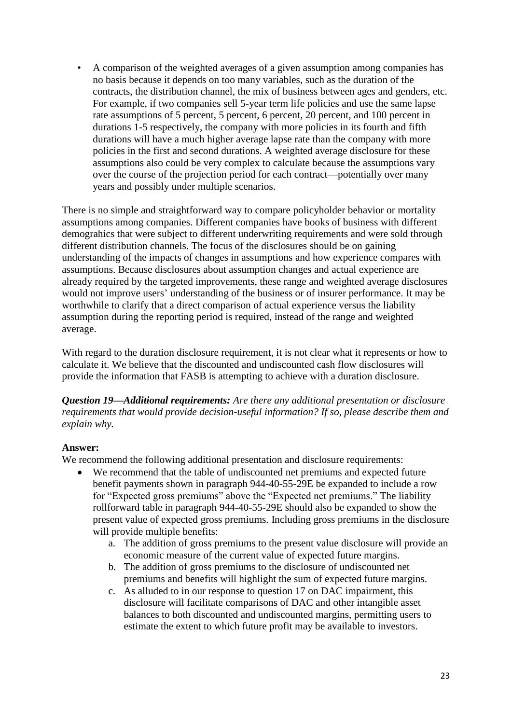• A comparison of the weighted averages of a given assumption among companies has no basis because it depends on too many variables, such as the duration of the contracts, the distribution channel, the mix of business between ages and genders, etc. For example, if two companies sell 5-year term life policies and use the same lapse rate assumptions of 5 percent, 5 percent, 6 percent, 20 percent, and 100 percent in durations 1-5 respectively, the company with more policies in its fourth and fifth durations will have a much higher average lapse rate than the company with more policies in the first and second durations. A weighted average disclosure for these assumptions also could be very complex to calculate because the assumptions vary over the course of the projection period for each contract—potentially over many years and possibly under multiple scenarios.

There is no simple and straightforward way to compare policyholder behavior or mortality assumptions among companies. Different companies have books of business with different demograhics that were subject to different underwriting requirements and were sold through different distribution channels. The focus of the disclosures should be on gaining understanding of the impacts of changes in assumptions and how experience compares with assumptions. Because disclosures about assumption changes and actual experience are already required by the targeted improvements, these range and weighted average disclosures would not improve users' understanding of the business or of insurer performance. It may be worthwhile to clarify that a direct comparison of actual experience versus the liability assumption during the reporting period is required, instead of the range and weighted average.

With regard to the duration disclosure requirement, it is not clear what it represents or how to calculate it. We believe that the discounted and undiscounted cash flow disclosures will provide the information that FASB is attempting to achieve with a duration disclosure.

*Question 19—Additional requirements: Are there any additional presentation or disclosure requirements that would provide decision-useful information? If so, please describe them and explain why.*

#### **Answer:**

We recommend the following additional presentation and disclosure requirements:

- We recommend that the table of undiscounted net premiums and expected future benefit payments shown in paragraph 944-40-55-29E be expanded to include a row for "Expected gross premiums" above the "Expected net premiums." The liability rollforward table in paragraph 944-40-55-29E should also be expanded to show the present value of expected gross premiums. Including gross premiums in the disclosure will provide multiple benefits:
	- a. The addition of gross premiums to the present value disclosure will provide an economic measure of the current value of expected future margins.
	- b. The addition of gross premiums to the disclosure of undiscounted net premiums and benefits will highlight the sum of expected future margins.
	- c. As alluded to in our response to question 17 on DAC impairment, this disclosure will facilitate comparisons of DAC and other intangible asset balances to both discounted and undiscounted margins, permitting users to estimate the extent to which future profit may be available to investors.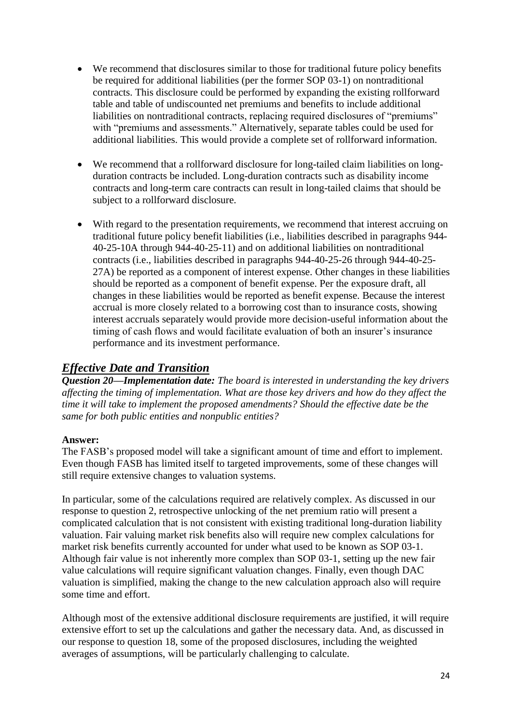- We recommend that disclosures similar to those for traditional future policy benefits be required for additional liabilities (per the former SOP 03-1) on nontraditional contracts. This disclosure could be performed by expanding the existing rollforward table and table of undiscounted net premiums and benefits to include additional liabilities on nontraditional contracts, replacing required disclosures of "premiums" with "premiums and assessments." Alternatively, separate tables could be used for additional liabilities. This would provide a complete set of rollforward information.
- We recommend that a rollforward disclosure for long-tailed claim liabilities on longduration contracts be included. Long-duration contracts such as disability income contracts and long-term care contracts can result in long-tailed claims that should be subject to a rollforward disclosure.
- With regard to the presentation requirements, we recommend that interest accruing on traditional future policy benefit liabilities (i.e., liabilities described in paragraphs 944- 40-25-10A through 944-40-25-11) and on additional liabilities on nontraditional contracts (i.e., liabilities described in paragraphs 944-40-25-26 through 944-40-25- 27A) be reported as a component of interest expense. Other changes in these liabilities should be reported as a component of benefit expense. Per the exposure draft, all changes in these liabilities would be reported as benefit expense. Because the interest accrual is more closely related to a borrowing cost than to insurance costs, showing interest accruals separately would provide more decision-useful information about the timing of cash flows and would facilitate evaluation of both an insurer's insurance performance and its investment performance.

# *Effective Date and Transition*

*Question 20—Implementation date: The board is interested in understanding the key drivers affecting the timing of implementation. What are those key drivers and how do they affect the time it will take to implement the proposed amendments? Should the effective date be the same for both public entities and nonpublic entities?*

# **Answer:**

The FASB's proposed model will take a significant amount of time and effort to implement. Even though FASB has limited itself to targeted improvements, some of these changes will still require extensive changes to valuation systems.

In particular, some of the calculations required are relatively complex. As discussed in our response to question 2, retrospective unlocking of the net premium ratio will present a complicated calculation that is not consistent with existing traditional long-duration liability valuation. Fair valuing market risk benefits also will require new complex calculations for market risk benefits currently accounted for under what used to be known as SOP 03-1. Although fair value is not inherently more complex than SOP 03-1, setting up the new fair value calculations will require significant valuation changes. Finally, even though DAC valuation is simplified, making the change to the new calculation approach also will require some time and effort.

Although most of the extensive additional disclosure requirements are justified, it will require extensive effort to set up the calculations and gather the necessary data. And, as discussed in our response to question 18, some of the proposed disclosures, including the weighted averages of assumptions, will be particularly challenging to calculate.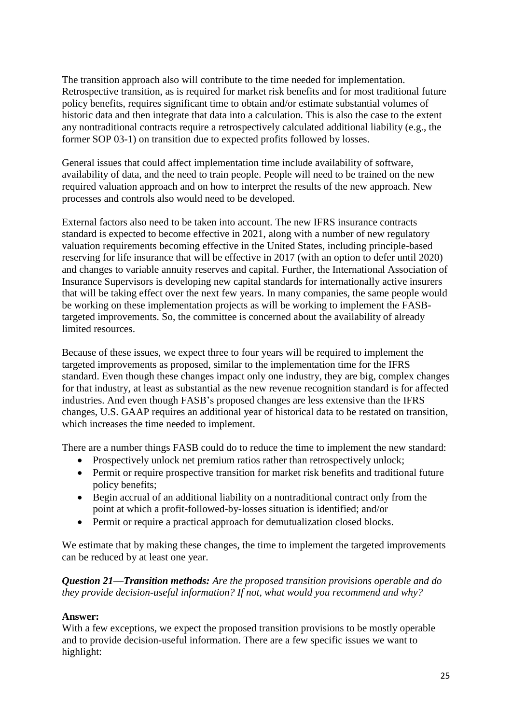The transition approach also will contribute to the time needed for implementation. Retrospective transition, as is required for market risk benefits and for most traditional future policy benefits, requires significant time to obtain and/or estimate substantial volumes of historic data and then integrate that data into a calculation. This is also the case to the extent any nontraditional contracts require a retrospectively calculated additional liability (e.g., the former SOP 03-1) on transition due to expected profits followed by losses.

General issues that could affect implementation time include availability of software, availability of data, and the need to train people. People will need to be trained on the new required valuation approach and on how to interpret the results of the new approach. New processes and controls also would need to be developed.

External factors also need to be taken into account. The new IFRS insurance contracts standard is expected to become effective in 2021, along with a number of new regulatory valuation requirements becoming effective in the United States, including principle-based reserving for life insurance that will be effective in 2017 (with an option to defer until 2020) and changes to variable annuity reserves and capital. Further, the International Association of Insurance Supervisors is developing new capital standards for internationally active insurers that will be taking effect over the next few years. In many companies, the same people would be working on these implementation projects as will be working to implement the FASBtargeted improvements. So, the committee is concerned about the availability of already limited resources.

Because of these issues, we expect three to four years will be required to implement the targeted improvements as proposed, similar to the implementation time for the IFRS standard. Even though these changes impact only one industry, they are big, complex changes for that industry, at least as substantial as the new revenue recognition standard is for affected industries. And even though FASB's proposed changes are less extensive than the IFRS changes, U.S. GAAP requires an additional year of historical data to be restated on transition, which increases the time needed to implement.

There are a number things FASB could do to reduce the time to implement the new standard:

- Prospectively unlock net premium ratios rather than retrospectively unlock;
- Permit or require prospective transition for market risk benefits and traditional future policy benefits;
- Begin accrual of an additional liability on a nontraditional contract only from the point at which a profit-followed-by-losses situation is identified; and/or
- Permit or require a practical approach for demutualization closed blocks.

We estimate that by making these changes, the time to implement the targeted improvements can be reduced by at least one year.

*Question 21—Transition methods: Are the proposed transition provisions operable and do they provide decision-useful information? If not, what would you recommend and why?*

# **Answer:**

With a few exceptions, we expect the proposed transition provisions to be mostly operable and to provide decision-useful information. There are a few specific issues we want to highlight: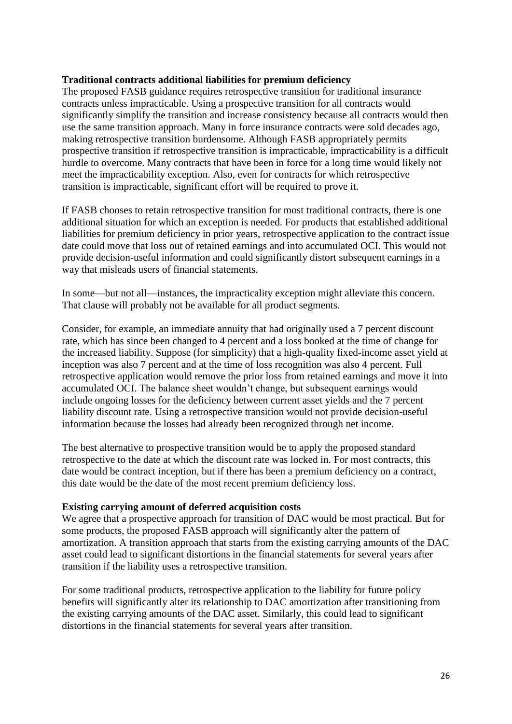#### **Traditional contracts additional liabilities for premium deficiency**

The proposed FASB guidance requires retrospective transition for traditional insurance contracts unless impracticable. Using a prospective transition for all contracts would significantly simplify the transition and increase consistency because all contracts would then use the same transition approach. Many in force insurance contracts were sold decades ago, making retrospective transition burdensome. Although FASB appropriately permits prospective transition if retrospective transition is impracticable, impracticability is a difficult hurdle to overcome. Many contracts that have been in force for a long time would likely not meet the impracticability exception. Also, even for contracts for which retrospective transition is impracticable, significant effort will be required to prove it.

If FASB chooses to retain retrospective transition for most traditional contracts, there is one additional situation for which an exception is needed. For products that established additional liabilities for premium deficiency in prior years, retrospective application to the contract issue date could move that loss out of retained earnings and into accumulated OCI. This would not provide decision-useful information and could significantly distort subsequent earnings in a way that misleads users of financial statements.

In some—but not all—instances, the impracticality exception might alleviate this concern. That clause will probably not be available for all product segments.

Consider, for example, an immediate annuity that had originally used a 7 percent discount rate, which has since been changed to 4 percent and a loss booked at the time of change for the increased liability. Suppose (for simplicity) that a high-quality fixed-income asset yield at inception was also 7 percent and at the time of loss recognition was also 4 percent. Full retrospective application would remove the prior loss from retained earnings and move it into accumulated OCI. The balance sheet wouldn't change, but subsequent earnings would include ongoing losses for the deficiency between current asset yields and the 7 percent liability discount rate. Using a retrospective transition would not provide decision-useful information because the losses had already been recognized through net income.

The best alternative to prospective transition would be to apply the proposed standard retrospective to the date at which the discount rate was locked in. For most contracts, this date would be contract inception, but if there has been a premium deficiency on a contract, this date would be the date of the most recent premium deficiency loss.

#### **Existing carrying amount of deferred acquisition costs**

We agree that a prospective approach for transition of DAC would be most practical. But for some products, the proposed FASB approach will significantly alter the pattern of amortization. A transition approach that starts from the existing carrying amounts of the DAC asset could lead to significant distortions in the financial statements for several years after transition if the liability uses a retrospective transition.

For some traditional products, retrospective application to the liability for future policy benefits will significantly alter its relationship to DAC amortization after transitioning from the existing carrying amounts of the DAC asset. Similarly, this could lead to significant distortions in the financial statements for several years after transition.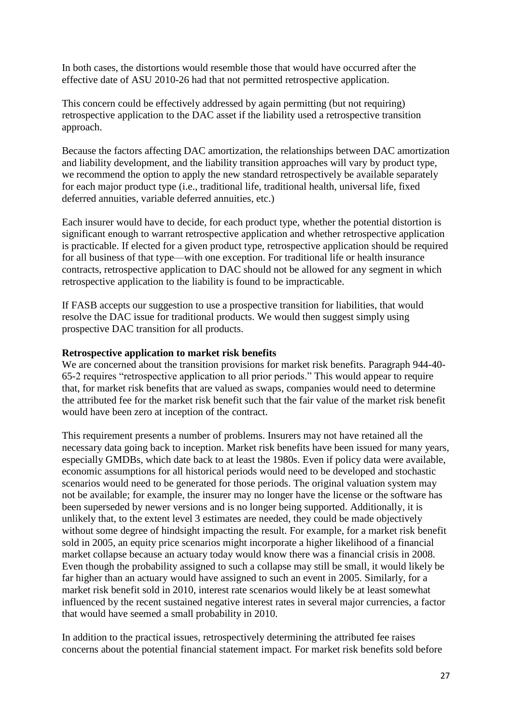In both cases, the distortions would resemble those that would have occurred after the effective date of ASU 2010-26 had that not permitted retrospective application.

This concern could be effectively addressed by again permitting (but not requiring) retrospective application to the DAC asset if the liability used a retrospective transition approach.

Because the factors affecting DAC amortization, the relationships between DAC amortization and liability development, and the liability transition approaches will vary by product type, we recommend the option to apply the new standard retrospectively be available separately for each major product type (i.e., traditional life, traditional health, universal life, fixed deferred annuities, variable deferred annuities, etc.)

Each insurer would have to decide, for each product type, whether the potential distortion is significant enough to warrant retrospective application and whether retrospective application is practicable. If elected for a given product type, retrospective application should be required for all business of that type—with one exception. For traditional life or health insurance contracts, retrospective application to DAC should not be allowed for any segment in which retrospective application to the liability is found to be impracticable.

If FASB accepts our suggestion to use a prospective transition for liabilities, that would resolve the DAC issue for traditional products. We would then suggest simply using prospective DAC transition for all products.

### **Retrospective application to market risk benefits**

We are concerned about the transition provisions for market risk benefits. Paragraph 944-40- 65-2 requires "retrospective application to all prior periods." This would appear to require that, for market risk benefits that are valued as swaps, companies would need to determine the attributed fee for the market risk benefit such that the fair value of the market risk benefit would have been zero at inception of the contract.

This requirement presents a number of problems. Insurers may not have retained all the necessary data going back to inception. Market risk benefits have been issued for many years, especially GMDBs, which date back to at least the 1980s. Even if policy data were available, economic assumptions for all historical periods would need to be developed and stochastic scenarios would need to be generated for those periods. The original valuation system may not be available; for example, the insurer may no longer have the license or the software has been superseded by newer versions and is no longer being supported. Additionally, it is unlikely that, to the extent level 3 estimates are needed, they could be made objectively without some degree of hindsight impacting the result. For example, for a market risk benefit sold in 2005, an equity price scenarios might incorporate a higher likelihood of a financial market collapse because an actuary today would know there was a financial crisis in 2008. Even though the probability assigned to such a collapse may still be small, it would likely be far higher than an actuary would have assigned to such an event in 2005. Similarly, for a market risk benefit sold in 2010, interest rate scenarios would likely be at least somewhat influenced by the recent sustained negative interest rates in several major currencies, a factor that would have seemed a small probability in 2010.

In addition to the practical issues, retrospectively determining the attributed fee raises concerns about the potential financial statement impact. For market risk benefits sold before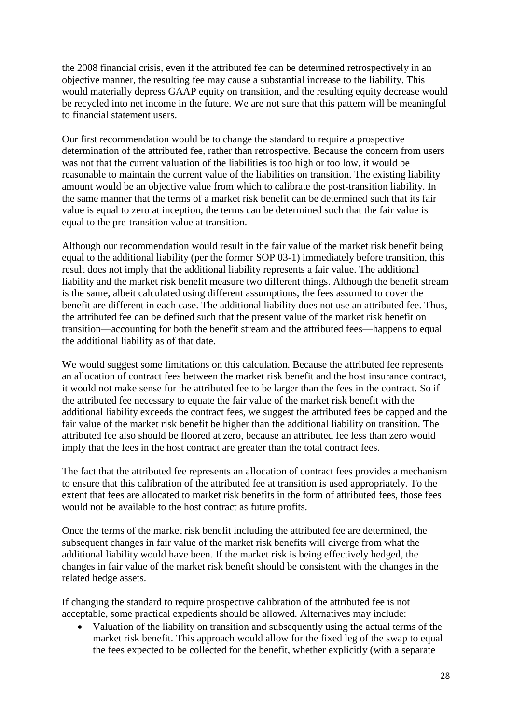the 2008 financial crisis, even if the attributed fee can be determined retrospectively in an objective manner, the resulting fee may cause a substantial increase to the liability. This would materially depress GAAP equity on transition, and the resulting equity decrease would be recycled into net income in the future. We are not sure that this pattern will be meaningful to financial statement users.

Our first recommendation would be to change the standard to require a prospective determination of the attributed fee, rather than retrospective. Because the concern from users was not that the current valuation of the liabilities is too high or too low, it would be reasonable to maintain the current value of the liabilities on transition. The existing liability amount would be an objective value from which to calibrate the post-transition liability. In the same manner that the terms of a market risk benefit can be determined such that its fair value is equal to zero at inception, the terms can be determined such that the fair value is equal to the pre-transition value at transition.

Although our recommendation would result in the fair value of the market risk benefit being equal to the additional liability (per the former SOP 03-1) immediately before transition, this result does not imply that the additional liability represents a fair value. The additional liability and the market risk benefit measure two different things. Although the benefit stream is the same, albeit calculated using different assumptions, the fees assumed to cover the benefit are different in each case. The additional liability does not use an attributed fee. Thus, the attributed fee can be defined such that the present value of the market risk benefit on transition—accounting for both the benefit stream and the attributed fees—happens to equal the additional liability as of that date.

We would suggest some limitations on this calculation. Because the attributed fee represents an allocation of contract fees between the market risk benefit and the host insurance contract, it would not make sense for the attributed fee to be larger than the fees in the contract. So if the attributed fee necessary to equate the fair value of the market risk benefit with the additional liability exceeds the contract fees, we suggest the attributed fees be capped and the fair value of the market risk benefit be higher than the additional liability on transition. The attributed fee also should be floored at zero, because an attributed fee less than zero would imply that the fees in the host contract are greater than the total contract fees.

The fact that the attributed fee represents an allocation of contract fees provides a mechanism to ensure that this calibration of the attributed fee at transition is used appropriately. To the extent that fees are allocated to market risk benefits in the form of attributed fees, those fees would not be available to the host contract as future profits.

Once the terms of the market risk benefit including the attributed fee are determined, the subsequent changes in fair value of the market risk benefits will diverge from what the additional liability would have been. If the market risk is being effectively hedged, the changes in fair value of the market risk benefit should be consistent with the changes in the related hedge assets.

If changing the standard to require prospective calibration of the attributed fee is not acceptable, some practical expedients should be allowed. Alternatives may include:

 Valuation of the liability on transition and subsequently using the actual terms of the market risk benefit. This approach would allow for the fixed leg of the swap to equal the fees expected to be collected for the benefit, whether explicitly (with a separate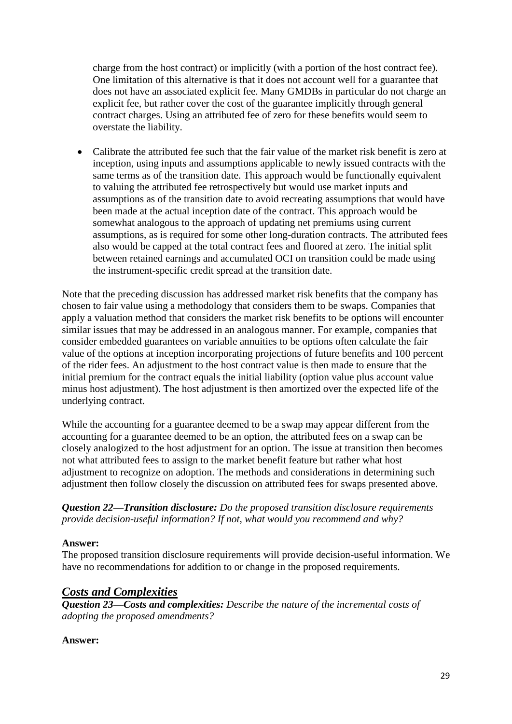charge from the host contract) or implicitly (with a portion of the host contract fee). One limitation of this alternative is that it does not account well for a guarantee that does not have an associated explicit fee. Many GMDBs in particular do not charge an explicit fee, but rather cover the cost of the guarantee implicitly through general contract charges. Using an attributed fee of zero for these benefits would seem to overstate the liability.

 Calibrate the attributed fee such that the fair value of the market risk benefit is zero at inception, using inputs and assumptions applicable to newly issued contracts with the same terms as of the transition date. This approach would be functionally equivalent to valuing the attributed fee retrospectively but would use market inputs and assumptions as of the transition date to avoid recreating assumptions that would have been made at the actual inception date of the contract. This approach would be somewhat analogous to the approach of updating net premiums using current assumptions, as is required for some other long-duration contracts. The attributed fees also would be capped at the total contract fees and floored at zero. The initial split between retained earnings and accumulated OCI on transition could be made using the instrument-specific credit spread at the transition date.

Note that the preceding discussion has addressed market risk benefits that the company has chosen to fair value using a methodology that considers them to be swaps. Companies that apply a valuation method that considers the market risk benefits to be options will encounter similar issues that may be addressed in an analogous manner. For example, companies that consider embedded guarantees on variable annuities to be options often calculate the fair value of the options at inception incorporating projections of future benefits and 100 percent of the rider fees. An adjustment to the host contract value is then made to ensure that the initial premium for the contract equals the initial liability (option value plus account value minus host adjustment). The host adjustment is then amortized over the expected life of the underlying contract.

While the accounting for a guarantee deemed to be a swap may appear different from the accounting for a guarantee deemed to be an option, the attributed fees on a swap can be closely analogized to the host adjustment for an option. The issue at transition then becomes not what attributed fees to assign to the market benefit feature but rather what host adjustment to recognize on adoption. The methods and considerations in determining such adjustment then follow closely the discussion on attributed fees for swaps presented above.

*Question 22—Transition disclosure: Do the proposed transition disclosure requirements provide decision-useful information? If not, what would you recommend and why?*

# **Answer:**

The proposed transition disclosure requirements will provide decision-useful information. We have no recommendations for addition to or change in the proposed requirements.

# *Costs and Complexities*

*Question 23—Costs and complexities: Describe the nature of the incremental costs of adopting the proposed amendments?*

# **Answer:**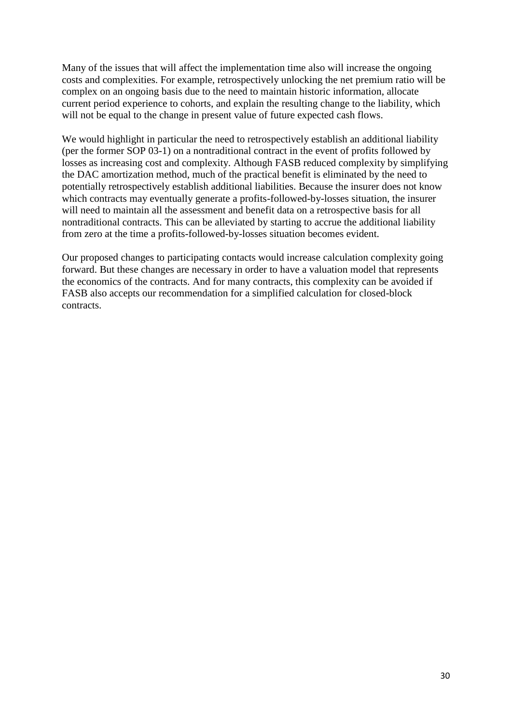Many of the issues that will affect the implementation time also will increase the ongoing costs and complexities. For example, retrospectively unlocking the net premium ratio will be complex on an ongoing basis due to the need to maintain historic information, allocate current period experience to cohorts, and explain the resulting change to the liability, which will not be equal to the change in present value of future expected cash flows.

We would highlight in particular the need to retrospectively establish an additional liability (per the former SOP 03-1) on a nontraditional contract in the event of profits followed by losses as increasing cost and complexity. Although FASB reduced complexity by simplifying the DAC amortization method, much of the practical benefit is eliminated by the need to potentially retrospectively establish additional liabilities. Because the insurer does not know which contracts may eventually generate a profits-followed-by-losses situation, the insurer will need to maintain all the assessment and benefit data on a retrospective basis for all nontraditional contracts. This can be alleviated by starting to accrue the additional liability from zero at the time a profits-followed-by-losses situation becomes evident.

Our proposed changes to participating contacts would increase calculation complexity going forward. But these changes are necessary in order to have a valuation model that represents the economics of the contracts. And for many contracts, this complexity can be avoided if FASB also accepts our recommendation for a simplified calculation for closed-block contracts.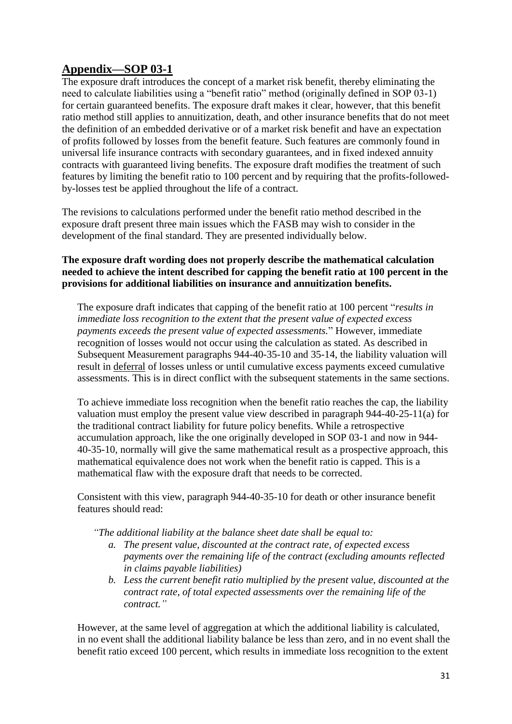# **Appendix—SOP 03-1**

The exposure draft introduces the concept of a market risk benefit, thereby eliminating the need to calculate liabilities using a "benefit ratio" method (originally defined in SOP 03-1) for certain guaranteed benefits. The exposure draft makes it clear, however, that this benefit ratio method still applies to annuitization, death, and other insurance benefits that do not meet the definition of an embedded derivative or of a market risk benefit and have an expectation of profits followed by losses from the benefit feature. Such features are commonly found in universal life insurance contracts with secondary guarantees, and in fixed indexed annuity contracts with guaranteed living benefits. The exposure draft modifies the treatment of such features by limiting the benefit ratio to 100 percent and by requiring that the profits-followedby-losses test be applied throughout the life of a contract.

The revisions to calculations performed under the benefit ratio method described in the exposure draft present three main issues which the FASB may wish to consider in the development of the final standard. They are presented individually below.

# **The exposure draft wording does not properly describe the mathematical calculation needed to achieve the intent described for capping the benefit ratio at 100 percent in the provisions for additional liabilities on insurance and annuitization benefits.**

The exposure draft indicates that capping of the benefit ratio at 100 percent "*results in immediate loss recognition to the extent that the present value of expected excess payments exceeds the present value of expected assessments.*" However, immediate recognition of losses would not occur using the calculation as stated. As described in Subsequent Measurement paragraphs 944-40-35-10 and 35-14, the liability valuation will result in deferral of losses unless or until cumulative excess payments exceed cumulative assessments. This is in direct conflict with the subsequent statements in the same sections.

To achieve immediate loss recognition when the benefit ratio reaches the cap, the liability valuation must employ the present value view described in paragraph 944-40-25-11(a) for the traditional contract liability for future policy benefits. While a retrospective accumulation approach, like the one originally developed in SOP 03-1 and now in 944- 40-35-10, normally will give the same mathematical result as a prospective approach, this mathematical equivalence does not work when the benefit ratio is capped. This is a mathematical flaw with the exposure draft that needs to be corrected.

Consistent with this view, paragraph 944-40-35-10 for death or other insurance benefit features should read:

#### *"The additional liability at the balance sheet date shall be equal to:*

- *a. The present value, discounted at the contract rate, of expected excess payments over the remaining life of the contract (excluding amounts reflected in claims payable liabilities)*
- *b. Less the current benefit ratio multiplied by the present value, discounted at the contract rate, of total expected assessments over the remaining life of the contract."*

However, at the same level of aggregation at which the additional liability is calculated, in no event shall the additional liability balance be less than zero, and in no event shall the benefit ratio exceed 100 percent, which results in immediate loss recognition to the extent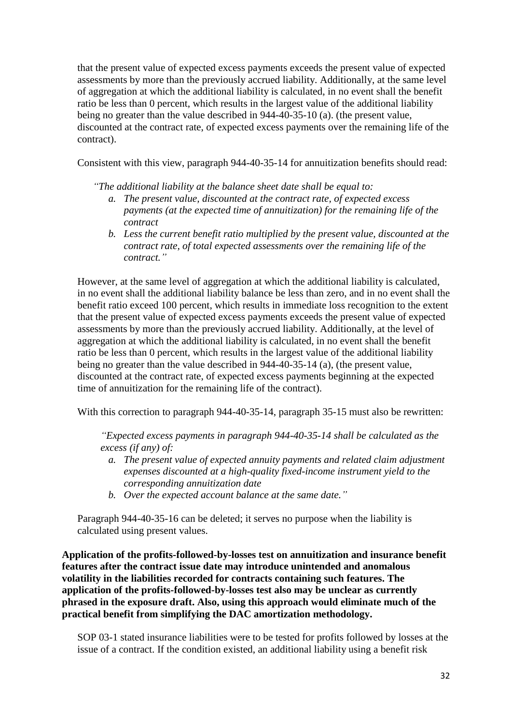that the present value of expected excess payments exceeds the present value of expected assessments by more than the previously accrued liability. Additionally, at the same level of aggregation at which the additional liability is calculated, in no event shall the benefit ratio be less than 0 percent, which results in the largest value of the additional liability being no greater than the value described in 944-40-35-10 (a). (the present value, discounted at the contract rate, of expected excess payments over the remaining life of the contract).

Consistent with this view, paragraph 944-40-35-14 for annuitization benefits should read:

*"The additional liability at the balance sheet date shall be equal to:*

- *a. The present value, discounted at the contract rate, of expected excess payments (at the expected time of annuitization) for the remaining life of the contract*
- *b. Less the current benefit ratio multiplied by the present value, discounted at the contract rate, of total expected assessments over the remaining life of the contract."*

However, at the same level of aggregation at which the additional liability is calculated, in no event shall the additional liability balance be less than zero, and in no event shall the benefit ratio exceed 100 percent, which results in immediate loss recognition to the extent that the present value of expected excess payments exceeds the present value of expected assessments by more than the previously accrued liability. Additionally, at the level of aggregation at which the additional liability is calculated, in no event shall the benefit ratio be less than 0 percent, which results in the largest value of the additional liability being no greater than the value described in 944-40-35-14 (a), (the present value, discounted at the contract rate, of expected excess payments beginning at the expected time of annuitization for the remaining life of the contract).

With this correction to paragraph 944-40-35-14, paragraph 35-15 must also be rewritten:

*"Expected excess payments in paragraph 944-40-35-14 shall be calculated as the excess (if any) of:*

- *a. The present value of expected annuity payments and related claim adjustment expenses discounted at a high-quality fixed-income instrument yield to the corresponding annuitization date*
- *b. Over the expected account balance at the same date."*

Paragraph 944-40-35-16 can be deleted; it serves no purpose when the liability is calculated using present values.

**Application of the profits-followed-by-losses test on annuitization and insurance benefit features after the contract issue date may introduce unintended and anomalous volatility in the liabilities recorded for contracts containing such features. The application of the profits-followed-by-losses test also may be unclear as currently phrased in the exposure draft. Also, using this approach would eliminate much of the practical benefit from simplifying the DAC amortization methodology.** 

SOP 03-1 stated insurance liabilities were to be tested for profits followed by losses at the issue of a contract. If the condition existed, an additional liability using a benefit risk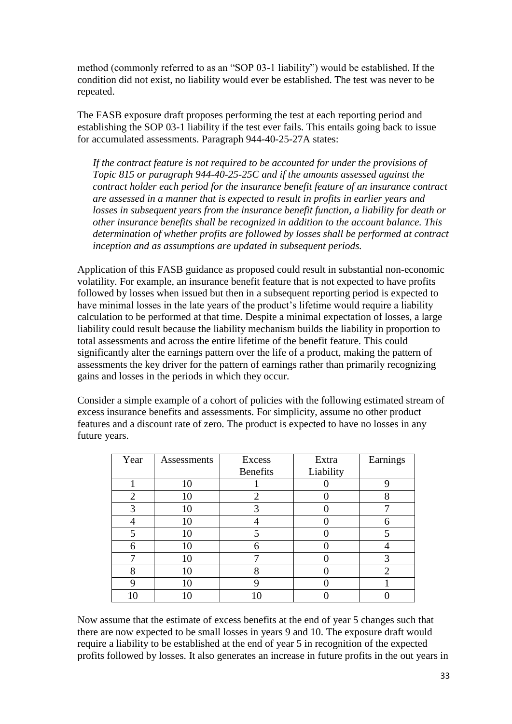method (commonly referred to as an "SOP 03-1 liability") would be established. If the condition did not exist, no liability would ever be established. The test was never to be repeated.

The FASB exposure draft proposes performing the test at each reporting period and establishing the SOP 03-1 liability if the test ever fails. This entails going back to issue for accumulated assessments. Paragraph 944-40-25-27A states:

*If the contract feature is not required to be accounted for under the provisions of Topic 815 or paragraph 944-40-25-25C and if the amounts assessed against the contract holder each period for the insurance benefit feature of an insurance contract are assessed in a manner that is expected to result in profits in earlier years and losses in subsequent years from the insurance benefit function, a liability for death or other insurance benefits shall be recognized in addition to the account balance. This determination of whether profits are followed by losses shall be performed at contract inception and as assumptions are updated in subsequent periods.*

Application of this FASB guidance as proposed could result in substantial non-economic volatility. For example, an insurance benefit feature that is not expected to have profits followed by losses when issued but then in a subsequent reporting period is expected to have minimal losses in the late years of the product's lifetime would require a liability calculation to be performed at that time. Despite a minimal expectation of losses, a large liability could result because the liability mechanism builds the liability in proportion to total assessments and across the entire lifetime of the benefit feature. This could significantly alter the earnings pattern over the life of a product, making the pattern of assessments the key driver for the pattern of earnings rather than primarily recognizing gains and losses in the periods in which they occur.

Consider a simple example of a cohort of policies with the following estimated stream of excess insurance benefits and assessments. For simplicity, assume no other product features and a discount rate of zero. The product is expected to have no losses in any future years.

| Year | Assessments | <b>Excess</b>   | Extra     | Earnings       |
|------|-------------|-----------------|-----------|----------------|
|      |             | <b>Benefits</b> | Liability |                |
|      | 10          |                 |           |                |
| 2    | 10          | 2               |           | 8              |
| 3    | 10          | 3               |           | ⇁              |
|      | 10          |                 |           | 6              |
| 5    | 10          | 5               |           |                |
| 6    | 10          |                 |           |                |
|      | 10          |                 |           |                |
| 8    | 10          | 8               |           | $\overline{2}$ |
|      | 10          | Q               |           |                |
|      | 10          | 10              |           |                |

Now assume that the estimate of excess benefits at the end of year 5 changes such that there are now expected to be small losses in years 9 and 10. The exposure draft would require a liability to be established at the end of year 5 in recognition of the expected profits followed by losses. It also generates an increase in future profits in the out years in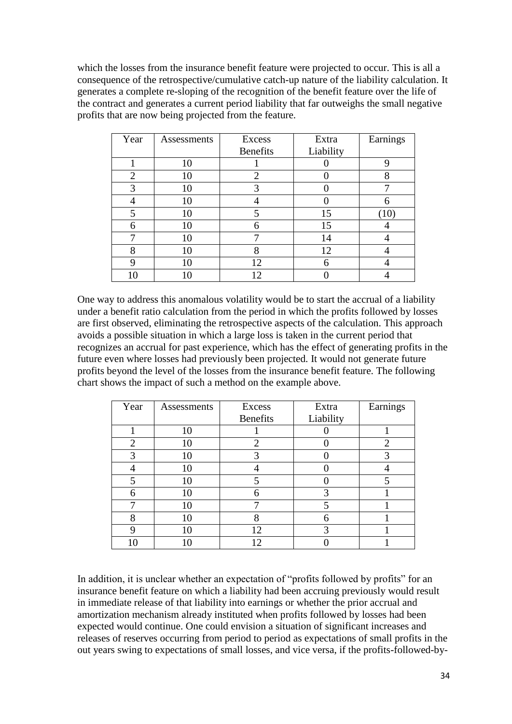which the losses from the insurance benefit feature were projected to occur. This is all a consequence of the retrospective/cumulative catch-up nature of the liability calculation. It generates a complete re-sloping of the recognition of the benefit feature over the life of the contract and generates a current period liability that far outweighs the small negative profits that are now being projected from the feature.

| Year           | Assessments | Excess          | Extra     | Earnings          |
|----------------|-------------|-----------------|-----------|-------------------|
|                |             | <b>Benefits</b> | Liability |                   |
|                | 10          |                 |           |                   |
| $\overline{2}$ | 10          | $\overline{2}$  |           |                   |
| 3              | 10          | 3               |           |                   |
|                | 10          |                 |           |                   |
| 5              | 10          | 5               | 15        | $\left(10\right)$ |
| 6              | 10          | 6               | 15        |                   |
|                | 10          |                 | 14        |                   |
| 8              | 10          | 8               | 12        |                   |
| 9              | 10          | 12              |           |                   |
|                |             | ി               |           |                   |

One way to address this anomalous volatility would be to start the accrual of a liability under a benefit ratio calculation from the period in which the profits followed by losses are first observed, eliminating the retrospective aspects of the calculation. This approach avoids a possible situation in which a large loss is taken in the current period that recognizes an accrual for past experience, which has the effect of generating profits in the future even where losses had previously been projected. It would not generate future profits beyond the level of the losses from the insurance benefit feature. The following chart shows the impact of such a method on the example above.

| Year           | Assessments | Excess          | Extra     | Earnings |
|----------------|-------------|-----------------|-----------|----------|
|                |             | <b>Benefits</b> | Liability |          |
|                | 10          |                 |           |          |
| $\overline{2}$ | 10          | 2               |           | 2        |
| 3              | 10          |                 |           |          |
|                | 10          |                 |           |          |
| 5              | 10          |                 |           |          |
| 6              | 10          | h               | 3         |          |
|                | 10          |                 |           |          |
| 8              | 10          |                 | 6         |          |
| Q              | 10          | 12              | 3         |          |
| 10             |             | 12              |           |          |

In addition, it is unclear whether an expectation of "profits followed by profits" for an insurance benefit feature on which a liability had been accruing previously would result in immediate release of that liability into earnings or whether the prior accrual and amortization mechanism already instituted when profits followed by losses had been expected would continue. One could envision a situation of significant increases and releases of reserves occurring from period to period as expectations of small profits in the out years swing to expectations of small losses, and vice versa, if the profits-followed-by